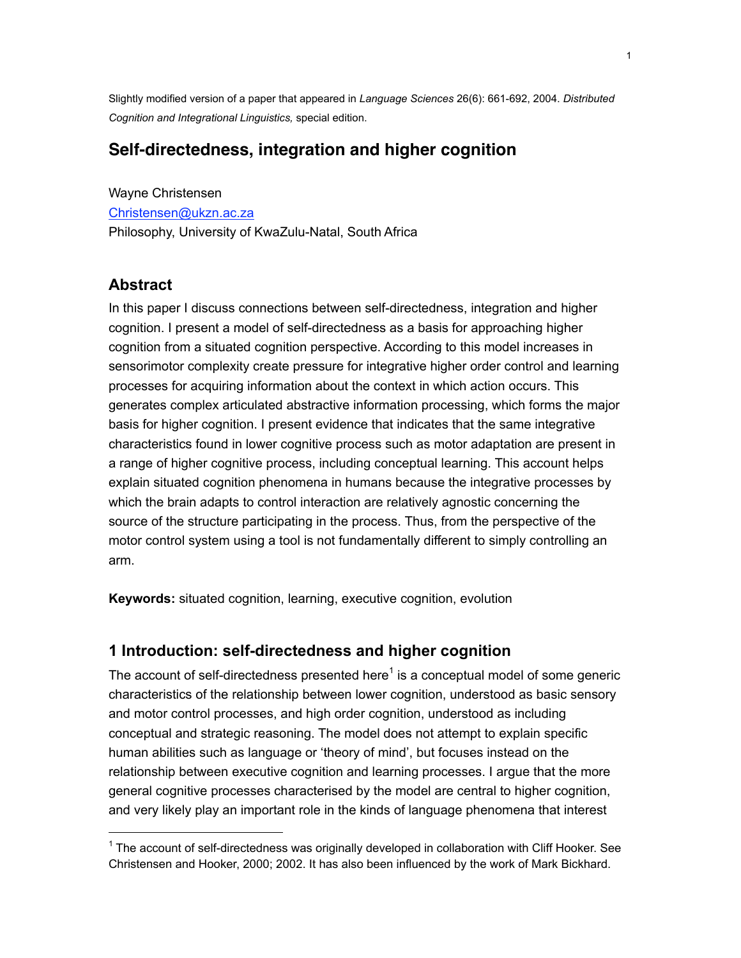Slightly modified version of a paper that appeared in *Language Sciences* 26(6): 661-692, 2004. *Distributed Cognition and Integrational Linguistics,* special edition.

# **Self-directedness, integration and higher cognition**

Wayne Christensen Christensen@ukzn.ac.za Philosophy, University of KwaZulu-Natal, South Africa

# **Abstract**

In this paper I discuss connections between self-directedness, integration and higher cognition. I present a model of self-directedness as a basis for approaching higher cognition from a situated cognition perspective. According to this model increases in sensorimotor complexity create pressure for integrative higher order control and learning processes for acquiring information about the context in which action occurs. This generates complex articulated abstractive information processing, which forms the major basis for higher cognition. I present evidence that indicates that the same integrative characteristics found in lower cognitive process such as motor adaptation are present in a range of higher cognitive process, including conceptual learning. This account helps explain situated cognition phenomena in humans because the integrative processes by which the brain adapts to control interaction are relatively agnostic concerning the source of the structure participating in the process. Thus, from the perspective of the motor control system using a tool is not fundamentally different to simply controlling an arm.

**Keywords:** situated cognition, learning, executive cognition, evolution

# **1 Introduction: self-directedness and higher cognition**

The account of self-directedness presented here<sup>1</sup> is a conceptual model of some generic characteristics of the relationship between lower cognition, understood as basic sensory and motor control processes, and high order cognition, understood as including conceptual and strategic reasoning. The model does not attempt to explain specific human abilities such as language or 'theory of mind', but focuses instead on the relationship between executive cognition and learning processes. I argue that the more general cognitive processes characterised by the model are central to higher cognition, and very likely play an important role in the kinds of language phenomena that interest

 $1$  The account of self-directedness was originally developed in collaboration with Cliff Hooker. See Christensen and Hooker, 2000; 2002. It has also been influenced by the work of Mark Bickhard.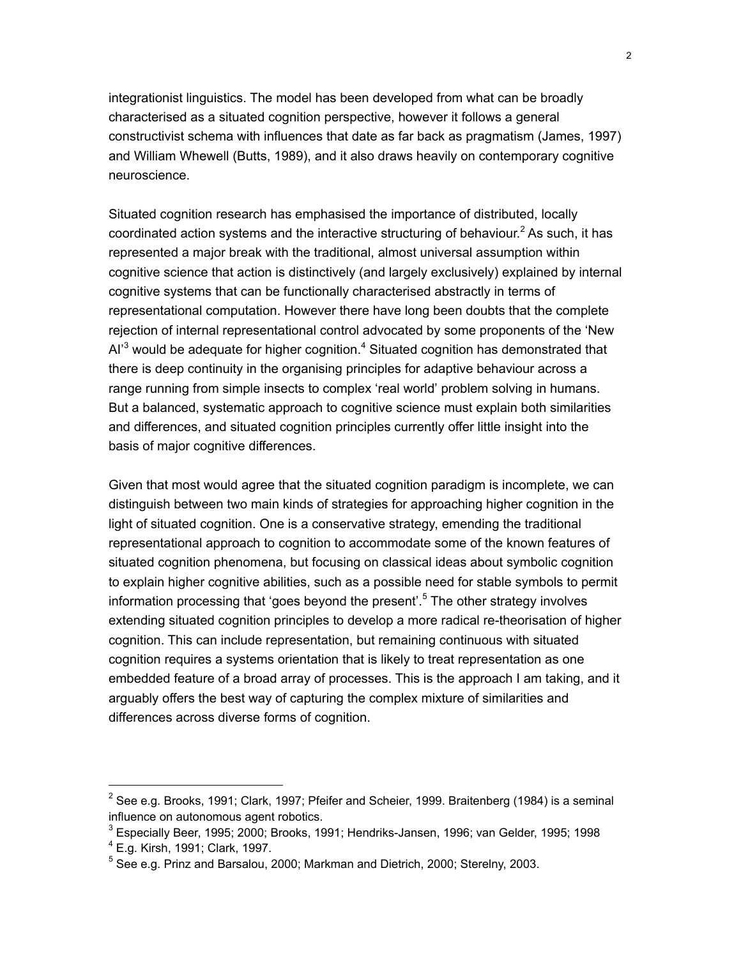integrationist linguistics. The model has been developed from what can be broadly characterised as a situated cognition perspective, however it follows a general constructivist schema with influences that date as far back as pragmatism (James, 1997) and William Whewell (Butts, 1989), and it also draws heavily on contemporary cognitive neuroscience.

Situated cognition research has emphasised the importance of distributed, locally coordinated action systems and the interactive structuring of behaviour.<sup>2</sup> As such, it has represented a major break with the traditional, almost universal assumption within cognitive science that action is distinctively (and largely exclusively) explained by internal cognitive systems that can be functionally characterised abstractly in terms of representational computation. However there have long been doubts that the complete rejection of internal representational control advocated by some proponents of the 'New Al'<sup>3</sup> would be adequate for higher cognition.<sup>4</sup> Situated cognition has demonstrated that there is deep continuity in the organising principles for adaptive behaviour across a range running from simple insects to complex 'real world' problem solving in humans. But a balanced, systematic approach to cognitive science must explain both similarities and differences, and situated cognition principles currently offer little insight into the basis of major cognitive differences.

Given that most would agree that the situated cognition paradigm is incomplete, we can distinguish between two main kinds of strategies for approaching higher cognition in the light of situated cognition. One is a conservative strategy, emending the traditional representational approach to cognition to accommodate some of the known features of situated cognition phenomena, but focusing on classical ideas about symbolic cognition to explain higher cognitive abilities, such as a possible need for stable symbols to permit information processing that 'goes beyond the present'.<sup>5</sup> The other strategy involves extending situated cognition principles to develop a more radical re-theorisation of higher cognition. This can include representation, but remaining continuous with situated cognition requires a systems orientation that is likely to treat representation as one embedded feature of a broad array of processes. This is the approach I am taking, and it arguably offers the best way of capturing the complex mixture of similarities and differences across diverse forms of cognition.

 $\overline{2}$  $2$  See e.g. Brooks, 1991; Clark, 1997; Pfeifer and Scheier, 1999. Braitenberg (1984) is a seminal influence on autonomous agent robotics.

 $^3$  Especially Beer, 1995; 2000; Brooks, 1991; Hendriks-Jansen, 1996; van Gelder, 1995; 1998

<sup>4</sup> E.g. Kirsh, 1991; Clark, 1997.

<sup>&</sup>lt;sup>5</sup> See e.g. Prinz and Barsalou, 2000; Markman and Dietrich, 2000; Sterelny, 2003.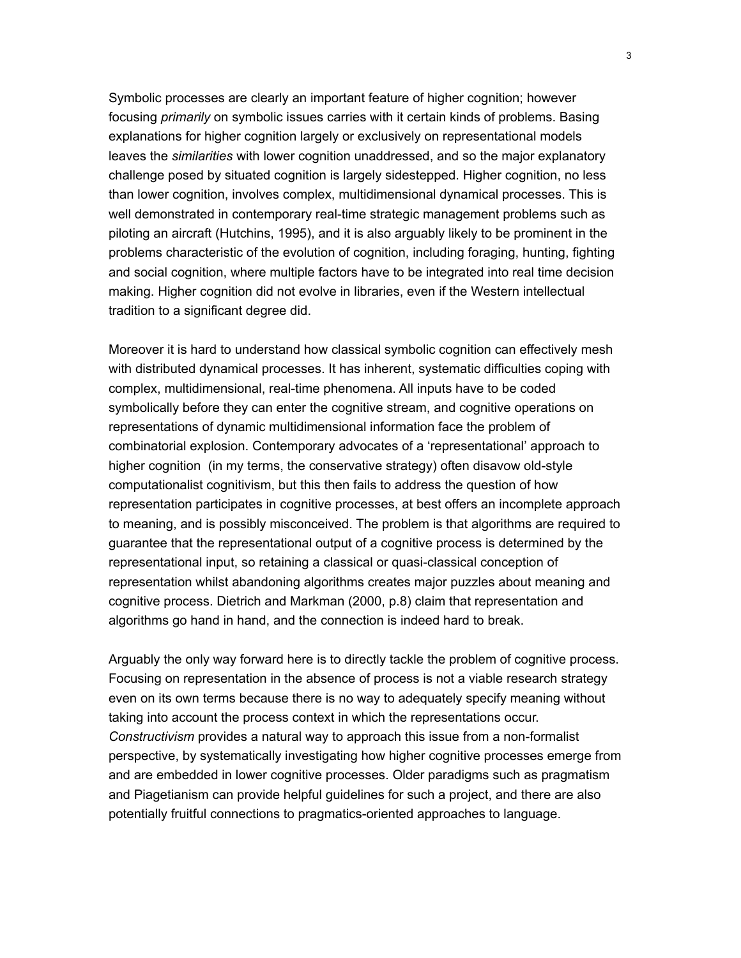Symbolic processes are clearly an important feature of higher cognition; however focusing *primarily* on symbolic issues carries with it certain kinds of problems. Basing explanations for higher cognition largely or exclusively on representational models leaves the *similarities* with lower cognition unaddressed, and so the major explanatory challenge posed by situated cognition is largely sidestepped. Higher cognition, no less than lower cognition, involves complex, multidimensional dynamical processes. This is well demonstrated in contemporary real-time strategic management problems such as piloting an aircraft (Hutchins, 1995), and it is also arguably likely to be prominent in the problems characteristic of the evolution of cognition, including foraging, hunting, fighting and social cognition, where multiple factors have to be integrated into real time decision making. Higher cognition did not evolve in libraries, even if the Western intellectual tradition to a significant degree did.

Moreover it is hard to understand how classical symbolic cognition can effectively mesh with distributed dynamical processes. It has inherent, systematic difficulties coping with complex, multidimensional, real-time phenomena. All inputs have to be coded symbolically before they can enter the cognitive stream, and cognitive operations on representations of dynamic multidimensional information face the problem of combinatorial explosion. Contemporary advocates of a 'representational' approach to higher cognition (in my terms, the conservative strategy) often disavow old-style computationalist cognitivism, but this then fails to address the question of how representation participates in cognitive processes, at best offers an incomplete approach to meaning, and is possibly misconceived. The problem is that algorithms are required to guarantee that the representational output of a cognitive process is determined by the representational input, so retaining a classical or quasi-classical conception of representation whilst abandoning algorithms creates major puzzles about meaning and cognitive process. Dietrich and Markman (2000, p.8) claim that representation and algorithms go hand in hand, and the connection is indeed hard to break.

Arguably the only way forward here is to directly tackle the problem of cognitive process. Focusing on representation in the absence of process is not a viable research strategy even on its own terms because there is no way to adequately specify meaning without taking into account the process context in which the representations occur. *Constructivism* provides a natural way to approach this issue from a non-formalist perspective, by systematically investigating how higher cognitive processes emerge from and are embedded in lower cognitive processes. Older paradigms such as pragmatism and Piagetianism can provide helpful guidelines for such a project, and there are also potentially fruitful connections to pragmatics-oriented approaches to language.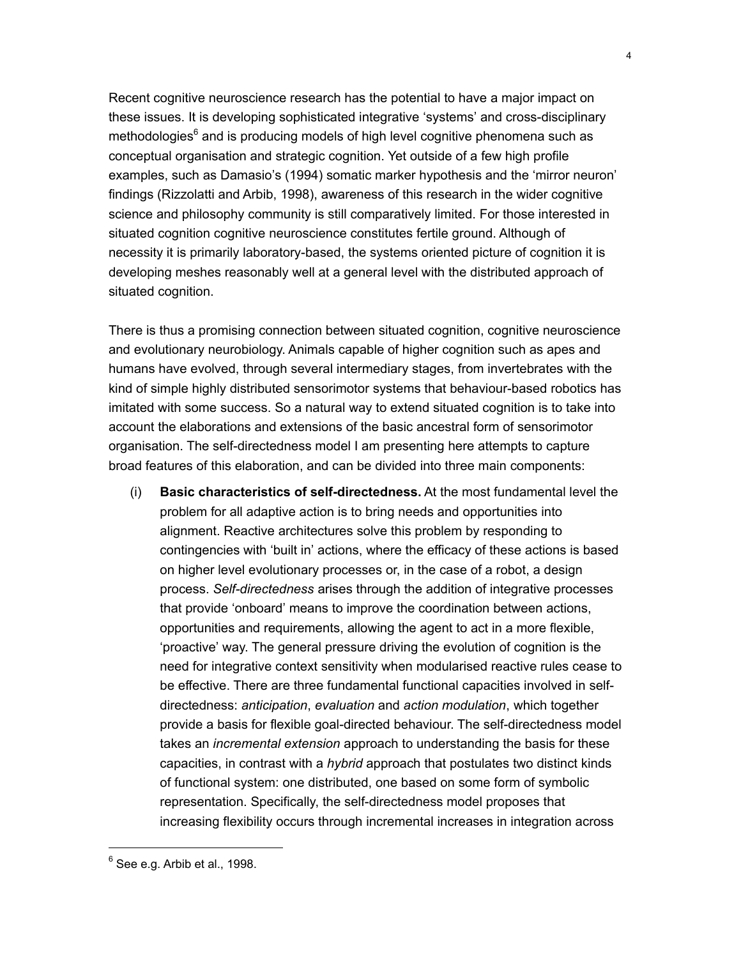Recent cognitive neuroscience research has the potential to have a major impact on these issues. It is developing sophisticated integrative 'systems' and cross-disciplinary methodologies<sup>6</sup> and is producing models of high level cognitive phenomena such as conceptual organisation and strategic cognition. Yet outside of a few high profile examples, such as Damasio's (1994) somatic marker hypothesis and the 'mirror neuron' findings (Rizzolatti and Arbib, 1998), awareness of this research in the wider cognitive science and philosophy community is still comparatively limited. For those interested in situated cognition cognitive neuroscience constitutes fertile ground. Although of necessity it is primarily laboratory-based, the systems oriented picture of cognition it is developing meshes reasonably well at a general level with the distributed approach of situated cognition.

There is thus a promising connection between situated cognition, cognitive neuroscience and evolutionary neurobiology. Animals capable of higher cognition such as apes and humans have evolved, through several intermediary stages, from invertebrates with the kind of simple highly distributed sensorimotor systems that behaviour-based robotics has imitated with some success. So a natural way to extend situated cognition is to take into account the elaborations and extensions of the basic ancestral form of sensorimotor organisation. The self-directedness model I am presenting here attempts to capture broad features of this elaboration, and can be divided into three main components:

(i) **Basic characteristics of self-directedness.** At the most fundamental level the problem for all adaptive action is to bring needs and opportunities into alignment. Reactive architectures solve this problem by responding to contingencies with 'built in' actions, where the efficacy of these actions is based on higher level evolutionary processes or, in the case of a robot, a design process. *Self-directedness* arises through the addition of integrative processes that provide 'onboard' means to improve the coordination between actions, opportunities and requirements, allowing the agent to act in a more flexible, 'proactive' way. The general pressure driving the evolution of cognition is the need for integrative context sensitivity when modularised reactive rules cease to be effective. There are three fundamental functional capacities involved in selfdirectedness: *anticipation*, *evaluation* and *action modulation*, which together provide a basis for flexible goal-directed behaviour. The self-directedness model takes an *incremental extension* approach to understanding the basis for these capacities, in contrast with a *hybrid* approach that postulates two distinct kinds of functional system: one distributed, one based on some form of symbolic representation. Specifically, the self-directedness model proposes that increasing flexibility occurs through incremental increases in integration across

 <sup>6</sup>  $6$  See e.g. Arbib et al., 1998.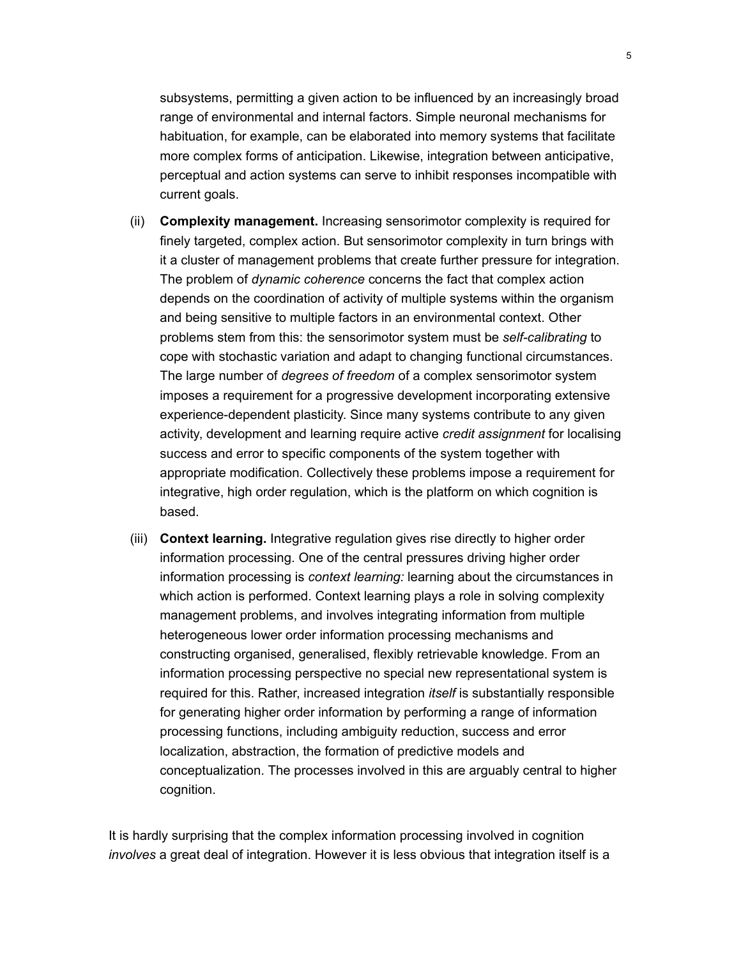subsystems, permitting a given action to be influenced by an increasingly broad range of environmental and internal factors. Simple neuronal mechanisms for habituation, for example, can be elaborated into memory systems that facilitate more complex forms of anticipation. Likewise, integration between anticipative, perceptual and action systems can serve to inhibit responses incompatible with current goals.

- (ii) **Complexity management.** Increasing sensorimotor complexity is required for finely targeted, complex action. But sensorimotor complexity in turn brings with it a cluster of management problems that create further pressure for integration. The problem of *dynamic coherence* concerns the fact that complex action depends on the coordination of activity of multiple systems within the organism and being sensitive to multiple factors in an environmental context. Other problems stem from this: the sensorimotor system must be *self-calibrating* to cope with stochastic variation and adapt to changing functional circumstances. The large number of *degrees of freedom* of a complex sensorimotor system imposes a requirement for a progressive development incorporating extensive experience-dependent plasticity. Since many systems contribute to any given activity, development and learning require active *credit assignment* for localising success and error to specific components of the system together with appropriate modification. Collectively these problems impose a requirement for integrative, high order regulation, which is the platform on which cognition is based.
- (iii) **Context learning.** Integrative regulation gives rise directly to higher order information processing. One of the central pressures driving higher order information processing is *context learning:* learning about the circumstances in which action is performed. Context learning plays a role in solving complexity management problems, and involves integrating information from multiple heterogeneous lower order information processing mechanisms and constructing organised, generalised, flexibly retrievable knowledge. From an information processing perspective no special new representational system is required for this. Rather, increased integration *itself* is substantially responsible for generating higher order information by performing a range of information processing functions, including ambiguity reduction, success and error localization, abstraction, the formation of predictive models and conceptualization. The processes involved in this are arguably central to higher cognition.

It is hardly surprising that the complex information processing involved in cognition *involves* a great deal of integration. However it is less obvious that integration itself is a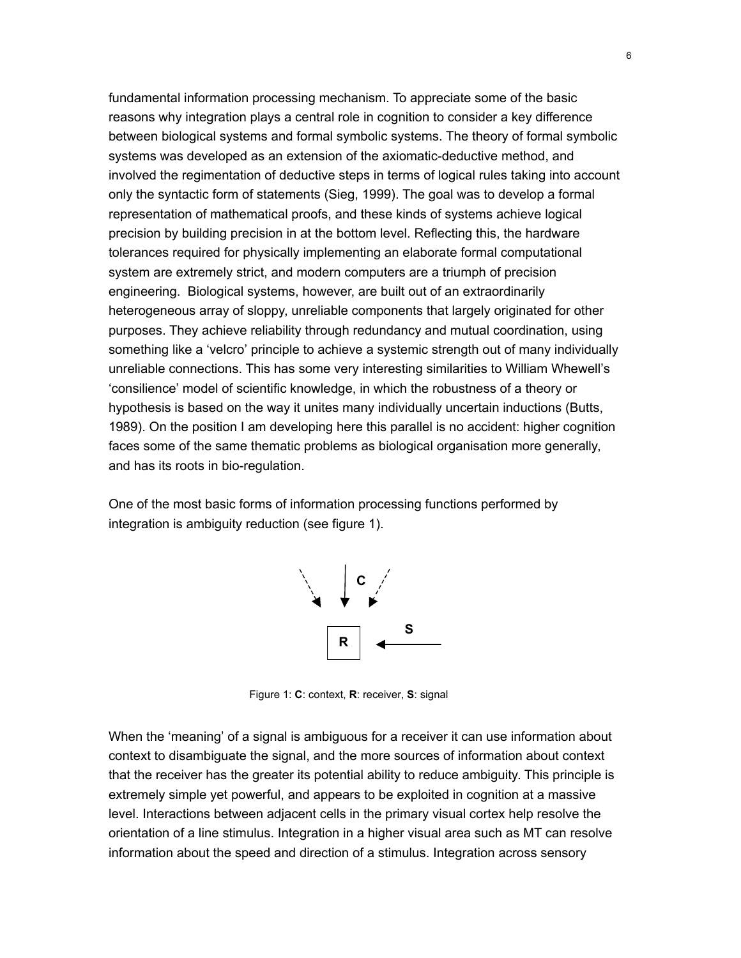fundamental information processing mechanism. To appreciate some of the basic reasons why integration plays a central role in cognition to consider a key difference between biological systems and formal symbolic systems. The theory of formal symbolic systems was developed as an extension of the axiomatic-deductive method, and involved the regimentation of deductive steps in terms of logical rules taking into account only the syntactic form of statements (Sieg, 1999). The goal was to develop a formal representation of mathematical proofs, and these kinds of systems achieve logical precision by building precision in at the bottom level. Reflecting this, the hardware tolerances required for physically implementing an elaborate formal computational system are extremely strict, and modern computers are a triumph of precision engineering. Biological systems, however, are built out of an extraordinarily heterogeneous array of sloppy, unreliable components that largely originated for other purposes. They achieve reliability through redundancy and mutual coordination, using something like a 'velcro' principle to achieve a systemic strength out of many individually unreliable connections. This has some very interesting similarities to William Whewell's 'consilience' model of scientific knowledge, in which the robustness of a theory or hypothesis is based on the way it unites many individually uncertain inductions (Butts, 1989). On the position I am developing here this parallel is no accident: higher cognition faces some of the same thematic problems as biological organisation more generally, and has its roots in bio-regulation.

One of the most basic forms of information processing functions performed by integration is ambiguity reduction (see figure 1).



Figure 1: **C**: context, **R**: receiver, **S**: signal

When the 'meaning' of a signal is ambiguous for a receiver it can use information about context to disambiguate the signal, and the more sources of information about context that the receiver has the greater its potential ability to reduce ambiguity. This principle is extremely simple yet powerful, and appears to be exploited in cognition at a massive level. Interactions between adjacent cells in the primary visual cortex help resolve the orientation of a line stimulus. Integration in a higher visual area such as MT can resolve information about the speed and direction of a stimulus. Integration across sensory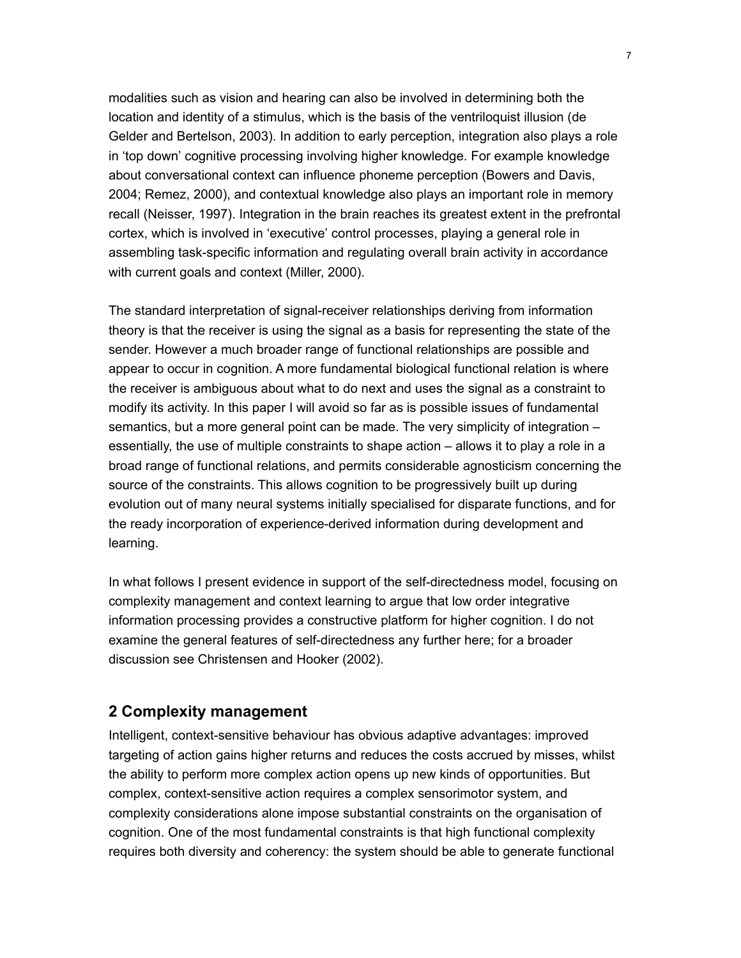modalities such as vision and hearing can also be involved in determining both the location and identity of a stimulus, which is the basis of the ventriloquist illusion (de Gelder and Bertelson, 2003). In addition to early perception, integration also plays a role in 'top down' cognitive processing involving higher knowledge. For example knowledge about conversational context can influence phoneme perception (Bowers and Davis, 2004; Remez, 2000), and contextual knowledge also plays an important role in memory recall (Neisser, 1997). Integration in the brain reaches its greatest extent in the prefrontal cortex, which is involved in 'executive' control processes, playing a general role in assembling task-specific information and regulating overall brain activity in accordance with current goals and context (Miller, 2000).

The standard interpretation of signal-receiver relationships deriving from information theory is that the receiver is using the signal as a basis for representing the state of the sender. However a much broader range of functional relationships are possible and appear to occur in cognition. A more fundamental biological functional relation is where the receiver is ambiguous about what to do next and uses the signal as a constraint to modify its activity. In this paper I will avoid so far as is possible issues of fundamental semantics, but a more general point can be made. The very simplicity of integration – essentially, the use of multiple constraints to shape action – allows it to play a role in a broad range of functional relations, and permits considerable agnosticism concerning the source of the constraints. This allows cognition to be progressively built up during evolution out of many neural systems initially specialised for disparate functions, and for the ready incorporation of experience-derived information during development and learning.

In what follows I present evidence in support of the self-directedness model, focusing on complexity management and context learning to argue that low order integrative information processing provides a constructive platform for higher cognition. I do not examine the general features of self-directedness any further here; for a broader discussion see Christensen and Hooker (2002).

#### **2 Complexity management**

Intelligent, context-sensitive behaviour has obvious adaptive advantages: improved targeting of action gains higher returns and reduces the costs accrued by misses, whilst the ability to perform more complex action opens up new kinds of opportunities. But complex, context-sensitive action requires a complex sensorimotor system, and complexity considerations alone impose substantial constraints on the organisation of cognition. One of the most fundamental constraints is that high functional complexity requires both diversity and coherency: the system should be able to generate functional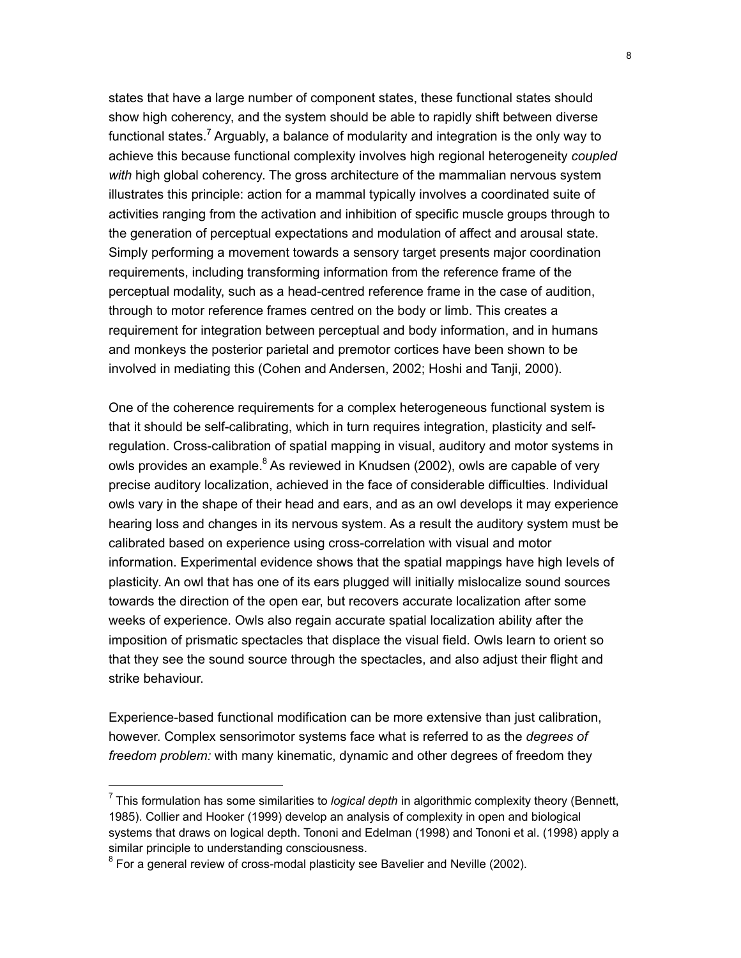states that have a large number of component states, these functional states should show high coherency, and the system should be able to rapidly shift between diverse functional states.<sup>7</sup> Arguably, a balance of modularity and integration is the only way to achieve this because functional complexity involves high regional heterogeneity *coupled with* high global coherency. The gross architecture of the mammalian nervous system illustrates this principle: action for a mammal typically involves a coordinated suite of activities ranging from the activation and inhibition of specific muscle groups through to the generation of perceptual expectations and modulation of affect and arousal state. Simply performing a movement towards a sensory target presents major coordination requirements, including transforming information from the reference frame of the perceptual modality, such as a head-centred reference frame in the case of audition, through to motor reference frames centred on the body or limb. This creates a requirement for integration between perceptual and body information, and in humans and monkeys the posterior parietal and premotor cortices have been shown to be involved in mediating this (Cohen and Andersen, 2002; Hoshi and Tanji, 2000).

One of the coherence requirements for a complex heterogeneous functional system is that it should be self-calibrating, which in turn requires integration, plasticity and selfregulation. Cross-calibration of spatial mapping in visual, auditory and motor systems in owls provides an example.<sup>8</sup> As reviewed in Knudsen (2002), owls are capable of very precise auditory localization, achieved in the face of considerable difficulties. Individual owls vary in the shape of their head and ears, and as an owl develops it may experience hearing loss and changes in its nervous system. As a result the auditory system must be calibrated based on experience using cross-correlation with visual and motor information. Experimental evidence shows that the spatial mappings have high levels of plasticity. An owl that has one of its ears plugged will initially mislocalize sound sources towards the direction of the open ear, but recovers accurate localization after some weeks of experience. Owls also regain accurate spatial localization ability after the imposition of prismatic spectacles that displace the visual field. Owls learn to orient so that they see the sound source through the spectacles, and also adjust their flight and strike behaviour.

Experience-based functional modification can be more extensive than just calibration, however. Complex sensorimotor systems face what is referred to as the *degrees of freedom problem:* with many kinematic, dynamic and other degrees of freedom they

 <sup>7</sup> This formulation has some similarities to *logical depth* in algorithmic complexity theory (Bennett, 1985). Collier and Hooker (1999) develop an analysis of complexity in open and biological systems that draws on logical depth. Tononi and Edelman (1998) and Tononi et al. (1998) apply a similar principle to understanding consciousness.

 $^8$  For a general review of cross-modal plasticity see Bavelier and Neville (2002).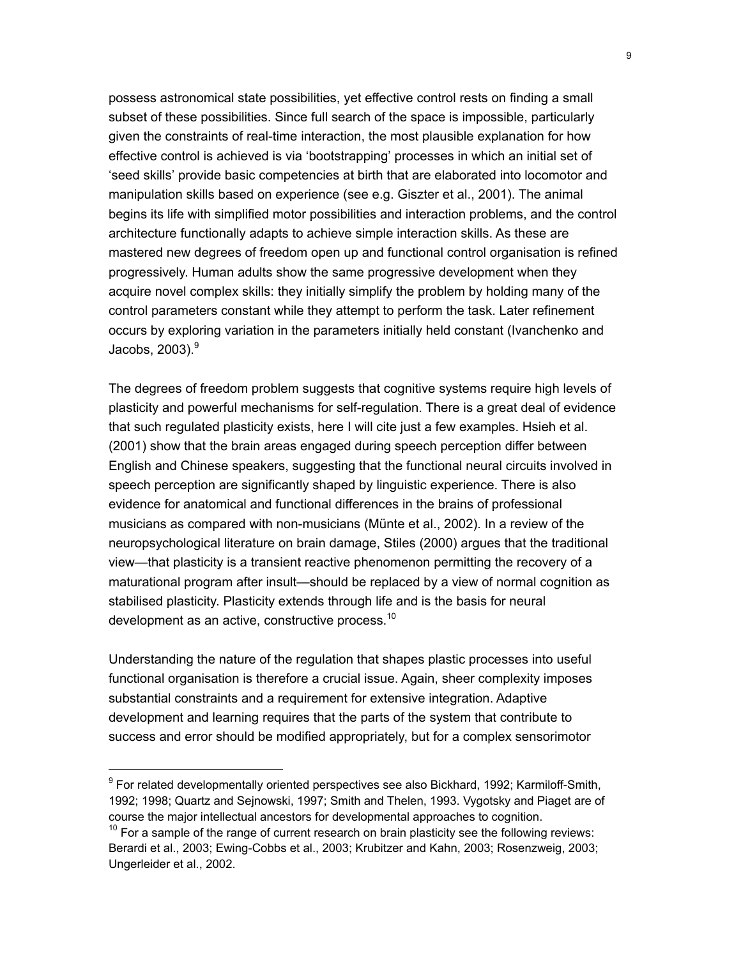possess astronomical state possibilities, yet effective control rests on finding a small subset of these possibilities. Since full search of the space is impossible, particularly given the constraints of real-time interaction, the most plausible explanation for how effective control is achieved is via 'bootstrapping' processes in which an initial set of 'seed skills' provide basic competencies at birth that are elaborated into locomotor and manipulation skills based on experience (see e.g. Giszter et al., 2001). The animal begins its life with simplified motor possibilities and interaction problems, and the control architecture functionally adapts to achieve simple interaction skills. As these are mastered new degrees of freedom open up and functional control organisation is refined progressively. Human adults show the same progressive development when they acquire novel complex skills: they initially simplify the problem by holding many of the control parameters constant while they attempt to perform the task. Later refinement occurs by exploring variation in the parameters initially held constant (Ivanchenko and Jacobs,  $2003$ ). $9$ 

The degrees of freedom problem suggests that cognitive systems require high levels of plasticity and powerful mechanisms for self-regulation. There is a great deal of evidence that such regulated plasticity exists, here I will cite just a few examples. Hsieh et al. (2001) show that the brain areas engaged during speech perception differ between English and Chinese speakers, suggesting that the functional neural circuits involved in speech perception are significantly shaped by linguistic experience. There is also evidence for anatomical and functional differences in the brains of professional musicians as compared with non-musicians (Münte et al., 2002). In a review of the neuropsychological literature on brain damage, Stiles (2000) argues that the traditional view—that plasticity is a transient reactive phenomenon permitting the recovery of a maturational program after insult—should be replaced by a view of normal cognition as stabilised plasticity. Plasticity extends through life and is the basis for neural development as an active, constructive process.<sup>10</sup>

Understanding the nature of the regulation that shapes plastic processes into useful functional organisation is therefore a crucial issue. Again, sheer complexity imposes substantial constraints and a requirement for extensive integration. Adaptive development and learning requires that the parts of the system that contribute to success and error should be modified appropriately, but for a complex sensorimotor

<sup>-&</sup>lt;br>9 <sup>9</sup> For related developmentally oriented perspectives see also Bickhard, 1992; Karmiloff-Smith, 1992; 1998; Quartz and Sejnowski, 1997; Smith and Thelen, 1993. Vygotsky and Piaget are of course the major intellectual ancestors for developmental approaches to cognition.  $10$  For a sample of the range of current research on brain plasticity see the following reviews:

Berardi et al., 2003; Ewing-Cobbs et al., 2003; Krubitzer and Kahn, 2003; Rosenzweig, 2003; Ungerleider et al., 2002.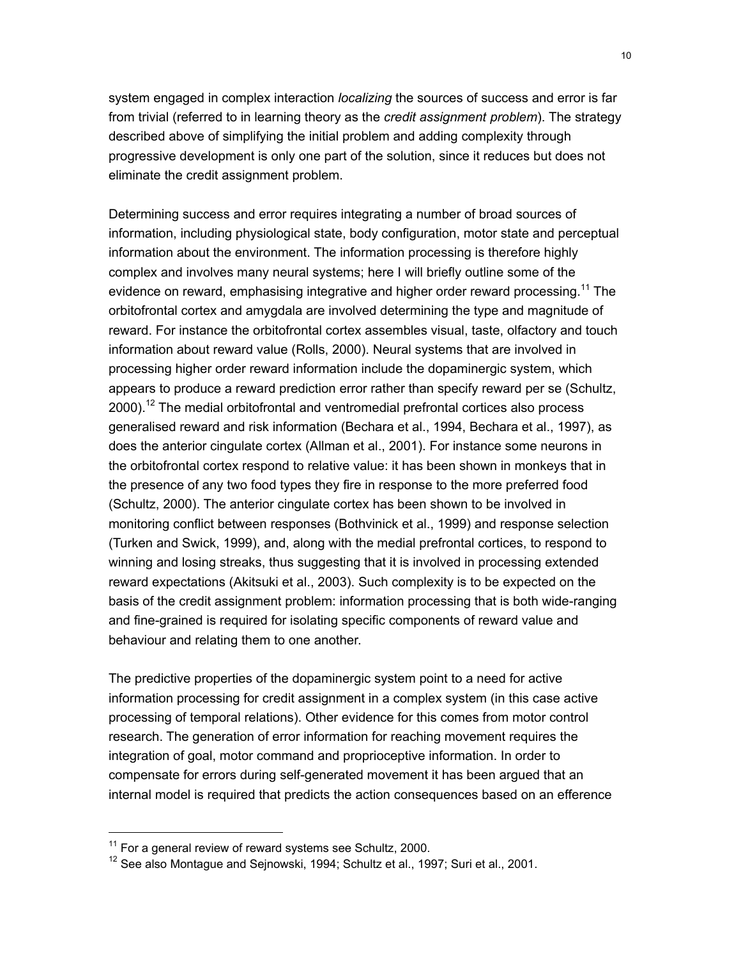system engaged in complex interaction *localizing* the sources of success and error is far from trivial (referred to in learning theory as the *credit assignment problem*). The strategy described above of simplifying the initial problem and adding complexity through progressive development is only one part of the solution, since it reduces but does not eliminate the credit assignment problem.

Determining success and error requires integrating a number of broad sources of information, including physiological state, body configuration, motor state and perceptual information about the environment. The information processing is therefore highly complex and involves many neural systems; here I will briefly outline some of the evidence on reward, emphasising integrative and higher order reward processing.<sup>11</sup> The orbitofrontal cortex and amygdala are involved determining the type and magnitude of reward. For instance the orbitofrontal cortex assembles visual, taste, olfactory and touch information about reward value (Rolls, 2000). Neural systems that are involved in processing higher order reward information include the dopaminergic system, which appears to produce a reward prediction error rather than specify reward per se (Schultz,  $2000$ ).<sup>12</sup> The medial orbitofrontal and ventromedial prefrontal cortices also process generalised reward and risk information (Bechara et al., 1994, Bechara et al., 1997), as does the anterior cingulate cortex (Allman et al., 2001). For instance some neurons in the orbitofrontal cortex respond to relative value: it has been shown in monkeys that in the presence of any two food types they fire in response to the more preferred food (Schultz, 2000). The anterior cingulate cortex has been shown to be involved in monitoring conflict between responses (Bothvinick et al., 1999) and response selection (Turken and Swick, 1999), and, along with the medial prefrontal cortices, to respond to winning and losing streaks, thus suggesting that it is involved in processing extended reward expectations (Akitsuki et al., 2003). Such complexity is to be expected on the basis of the credit assignment problem: information processing that is both wide-ranging and fine-grained is required for isolating specific components of reward value and behaviour and relating them to one another.

The predictive properties of the dopaminergic system point to a need for active information processing for credit assignment in a complex system (in this case active processing of temporal relations). Other evidence for this comes from motor control research. The generation of error information for reaching movement requires the integration of goal, motor command and proprioceptive information. In order to compensate for errors during self-generated movement it has been argued that an internal model is required that predicts the action consequences based on an efference

 <sup>11</sup> For a general review of reward systems see Schultz, 2000.

 $12$  See also Montague and Sejnowski, 1994; Schultz et al., 1997; Suri et al., 2001.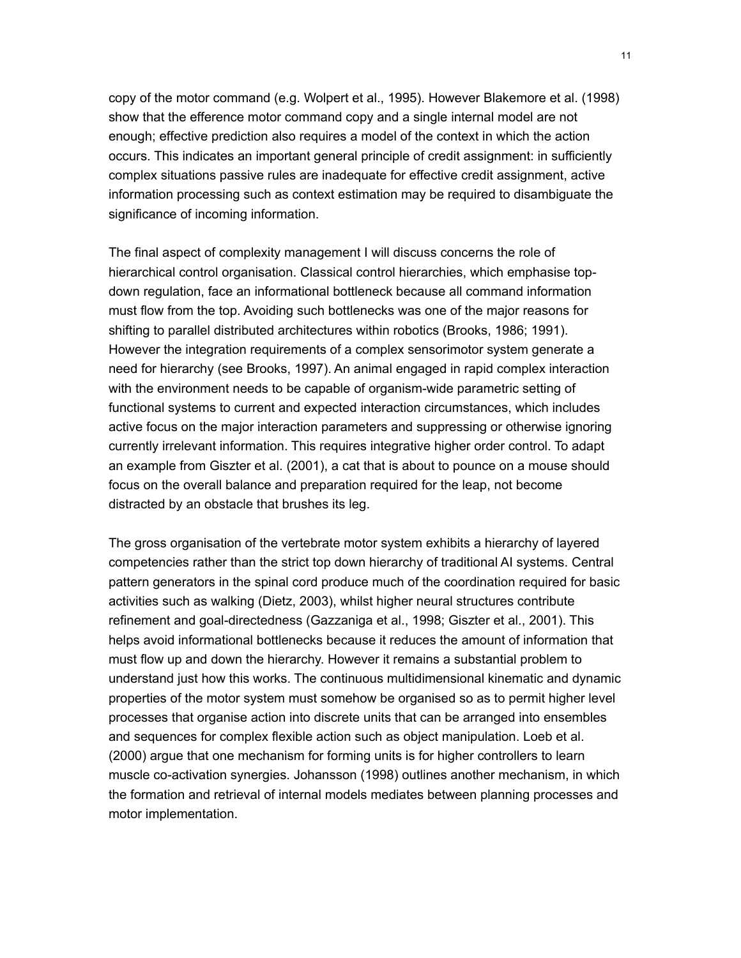copy of the motor command (e.g. Wolpert et al., 1995). However Blakemore et al. (1998) show that the efference motor command copy and a single internal model are not enough; effective prediction also requires a model of the context in which the action occurs. This indicates an important general principle of credit assignment: in sufficiently complex situations passive rules are inadequate for effective credit assignment, active information processing such as context estimation may be required to disambiguate the significance of incoming information.

The final aspect of complexity management I will discuss concerns the role of hierarchical control organisation. Classical control hierarchies, which emphasise topdown regulation, face an informational bottleneck because all command information must flow from the top. Avoiding such bottlenecks was one of the major reasons for shifting to parallel distributed architectures within robotics (Brooks, 1986; 1991). However the integration requirements of a complex sensorimotor system generate a need for hierarchy (see Brooks, 1997). An animal engaged in rapid complex interaction with the environment needs to be capable of organism-wide parametric setting of functional systems to current and expected interaction circumstances, which includes active focus on the major interaction parameters and suppressing or otherwise ignoring currently irrelevant information. This requires integrative higher order control. To adapt an example from Giszter et al. (2001), a cat that is about to pounce on a mouse should focus on the overall balance and preparation required for the leap, not become distracted by an obstacle that brushes its leg.

The gross organisation of the vertebrate motor system exhibits a hierarchy of layered competencies rather than the strict top down hierarchy of traditional AI systems. Central pattern generators in the spinal cord produce much of the coordination required for basic activities such as walking (Dietz, 2003), whilst higher neural structures contribute refinement and goal-directedness (Gazzaniga et al., 1998; Giszter et al., 2001). This helps avoid informational bottlenecks because it reduces the amount of information that must flow up and down the hierarchy. However it remains a substantial problem to understand just how this works. The continuous multidimensional kinematic and dynamic properties of the motor system must somehow be organised so as to permit higher level processes that organise action into discrete units that can be arranged into ensembles and sequences for complex flexible action such as object manipulation. Loeb et al. (2000) argue that one mechanism for forming units is for higher controllers to learn muscle co-activation synergies. Johansson (1998) outlines another mechanism, in which the formation and retrieval of internal models mediates between planning processes and motor implementation.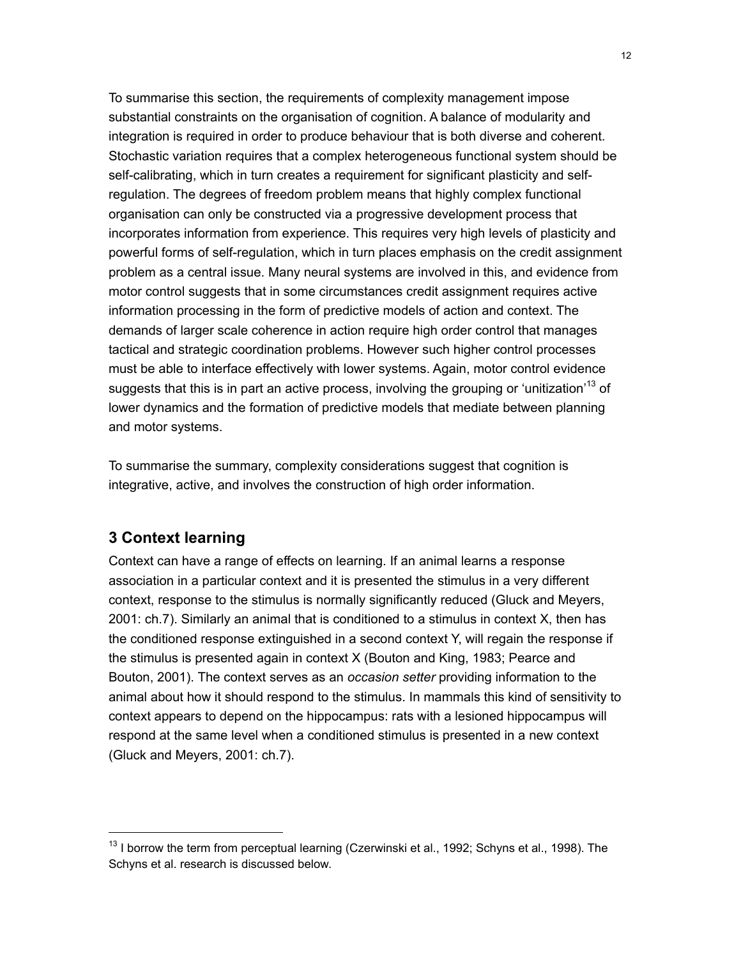To summarise this section, the requirements of complexity management impose substantial constraints on the organisation of cognition. A balance of modularity and integration is required in order to produce behaviour that is both diverse and coherent. Stochastic variation requires that a complex heterogeneous functional system should be self-calibrating, which in turn creates a requirement for significant plasticity and selfregulation. The degrees of freedom problem means that highly complex functional organisation can only be constructed via a progressive development process that incorporates information from experience. This requires very high levels of plasticity and powerful forms of self-regulation, which in turn places emphasis on the credit assignment problem as a central issue. Many neural systems are involved in this, and evidence from motor control suggests that in some circumstances credit assignment requires active information processing in the form of predictive models of action and context. The demands of larger scale coherence in action require high order control that manages tactical and strategic coordination problems. However such higher control processes must be able to interface effectively with lower systems. Again, motor control evidence suggests that this is in part an active process, involving the grouping or 'unitization'<sup>13</sup> of lower dynamics and the formation of predictive models that mediate between planning and motor systems.

To summarise the summary, complexity considerations suggest that cognition is integrative, active, and involves the construction of high order information.

## **3 Context learning**

Context can have a range of effects on learning. If an animal learns a response association in a particular context and it is presented the stimulus in a very different context, response to the stimulus is normally significantly reduced (Gluck and Meyers, 2001: ch.7). Similarly an animal that is conditioned to a stimulus in context X, then has the conditioned response extinguished in a second context Y, will regain the response if the stimulus is presented again in context X (Bouton and King, 1983; Pearce and Bouton, 2001). The context serves as an *occasion setter* providing information to the animal about how it should respond to the stimulus. In mammals this kind of sensitivity to context appears to depend on the hippocampus: rats with a lesioned hippocampus will respond at the same level when a conditioned stimulus is presented in a new context (Gluck and Meyers, 2001: ch.7).

 <sup>13</sup> I borrow the term from perceptual learning (Czerwinski et al., 1992; Schyns et al., 1998). The Schyns et al. research is discussed below.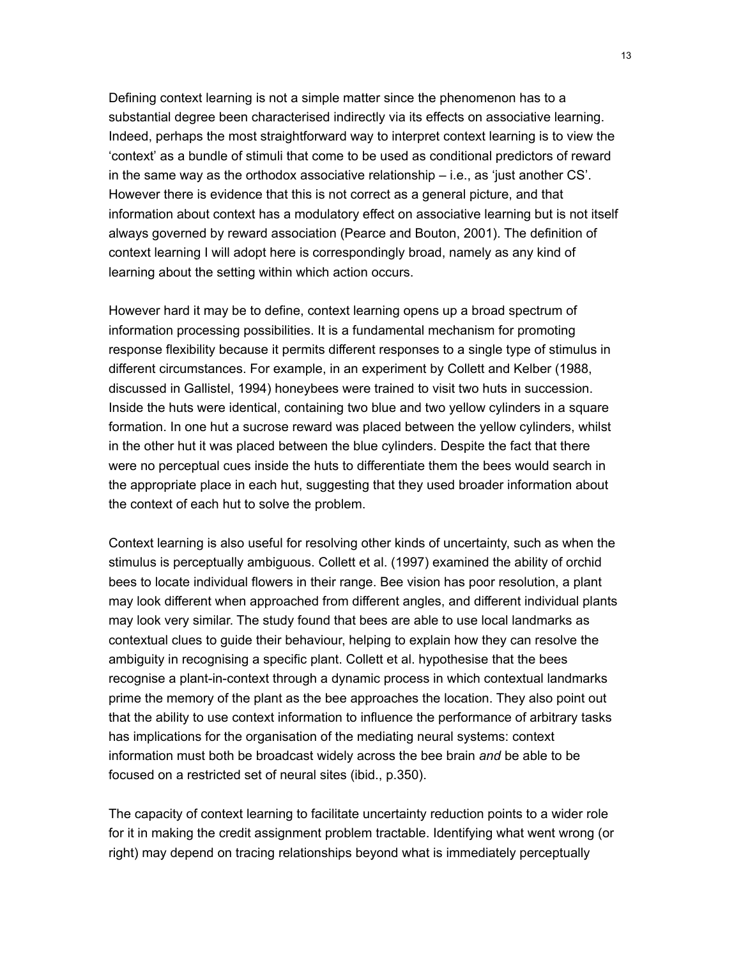Defining context learning is not a simple matter since the phenomenon has to a substantial degree been characterised indirectly via its effects on associative learning. Indeed, perhaps the most straightforward way to interpret context learning is to view the 'context' as a bundle of stimuli that come to be used as conditional predictors of reward in the same way as the orthodox associative relationship – i.e., as 'just another CS'. However there is evidence that this is not correct as a general picture, and that information about context has a modulatory effect on associative learning but is not itself always governed by reward association (Pearce and Bouton, 2001). The definition of context learning I will adopt here is correspondingly broad, namely as any kind of learning about the setting within which action occurs.

However hard it may be to define, context learning opens up a broad spectrum of information processing possibilities. It is a fundamental mechanism for promoting response flexibility because it permits different responses to a single type of stimulus in different circumstances. For example, in an experiment by Collett and Kelber (1988, discussed in Gallistel, 1994) honeybees were trained to visit two huts in succession. Inside the huts were identical, containing two blue and two yellow cylinders in a square formation. In one hut a sucrose reward was placed between the yellow cylinders, whilst in the other hut it was placed between the blue cylinders. Despite the fact that there were no perceptual cues inside the huts to differentiate them the bees would search in the appropriate place in each hut, suggesting that they used broader information about the context of each hut to solve the problem.

Context learning is also useful for resolving other kinds of uncertainty, such as when the stimulus is perceptually ambiguous. Collett et al. (1997) examined the ability of orchid bees to locate individual flowers in their range. Bee vision has poor resolution, a plant may look different when approached from different angles, and different individual plants may look very similar. The study found that bees are able to use local landmarks as contextual clues to guide their behaviour, helping to explain how they can resolve the ambiguity in recognising a specific plant. Collett et al. hypothesise that the bees recognise a plant-in-context through a dynamic process in which contextual landmarks prime the memory of the plant as the bee approaches the location. They also point out that the ability to use context information to influence the performance of arbitrary tasks has implications for the organisation of the mediating neural systems: context information must both be broadcast widely across the bee brain *and* be able to be focused on a restricted set of neural sites (ibid., p.350).

The capacity of context learning to facilitate uncertainty reduction points to a wider role for it in making the credit assignment problem tractable. Identifying what went wrong (or right) may depend on tracing relationships beyond what is immediately perceptually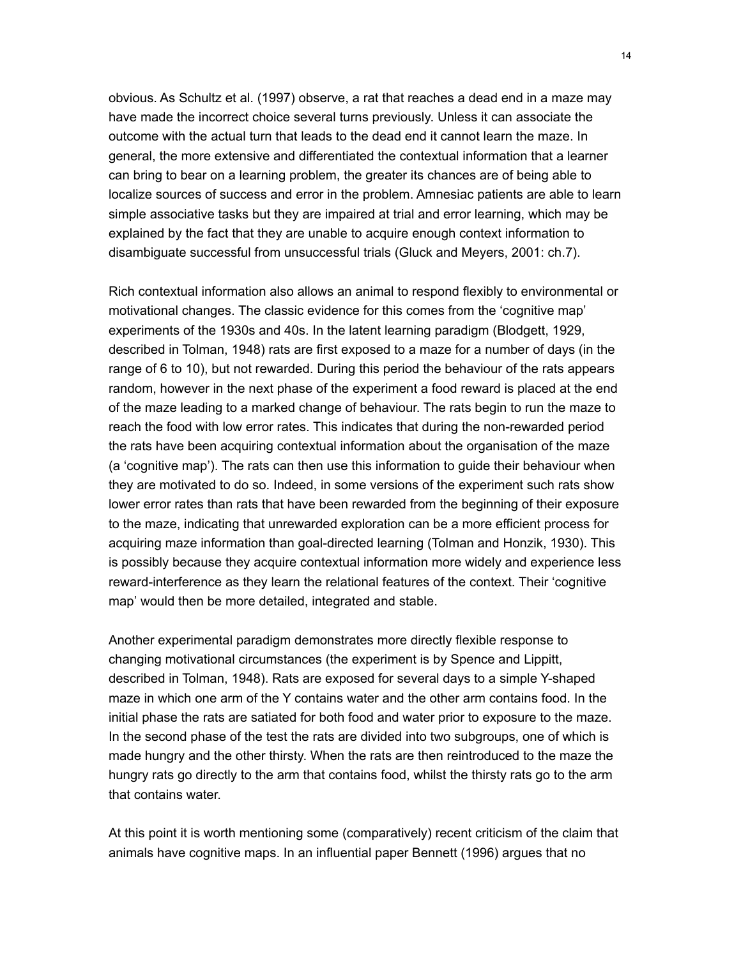obvious. As Schultz et al. (1997) observe, a rat that reaches a dead end in a maze may have made the incorrect choice several turns previously. Unless it can associate the outcome with the actual turn that leads to the dead end it cannot learn the maze. In general, the more extensive and differentiated the contextual information that a learner can bring to bear on a learning problem, the greater its chances are of being able to localize sources of success and error in the problem. Amnesiac patients are able to learn simple associative tasks but they are impaired at trial and error learning, which may be explained by the fact that they are unable to acquire enough context information to disambiguate successful from unsuccessful trials (Gluck and Meyers, 2001: ch.7).

Rich contextual information also allows an animal to respond flexibly to environmental or motivational changes. The classic evidence for this comes from the 'cognitive map' experiments of the 1930s and 40s. In the latent learning paradigm (Blodgett, 1929, described in Tolman, 1948) rats are first exposed to a maze for a number of days (in the range of 6 to 10), but not rewarded. During this period the behaviour of the rats appears random, however in the next phase of the experiment a food reward is placed at the end of the maze leading to a marked change of behaviour. The rats begin to run the maze to reach the food with low error rates. This indicates that during the non-rewarded period the rats have been acquiring contextual information about the organisation of the maze (a 'cognitive map'). The rats can then use this information to guide their behaviour when they are motivated to do so. Indeed, in some versions of the experiment such rats show lower error rates than rats that have been rewarded from the beginning of their exposure to the maze, indicating that unrewarded exploration can be a more efficient process for acquiring maze information than goal-directed learning (Tolman and Honzik, 1930). This is possibly because they acquire contextual information more widely and experience less reward-interference as they learn the relational features of the context. Their 'cognitive map' would then be more detailed, integrated and stable.

Another experimental paradigm demonstrates more directly flexible response to changing motivational circumstances (the experiment is by Spence and Lippitt, described in Tolman, 1948). Rats are exposed for several days to a simple Y-shaped maze in which one arm of the Y contains water and the other arm contains food. In the initial phase the rats are satiated for both food and water prior to exposure to the maze. In the second phase of the test the rats are divided into two subgroups, one of which is made hungry and the other thirsty. When the rats are then reintroduced to the maze the hungry rats go directly to the arm that contains food, whilst the thirsty rats go to the arm that contains water.

At this point it is worth mentioning some (comparatively) recent criticism of the claim that animals have cognitive maps. In an influential paper Bennett (1996) argues that no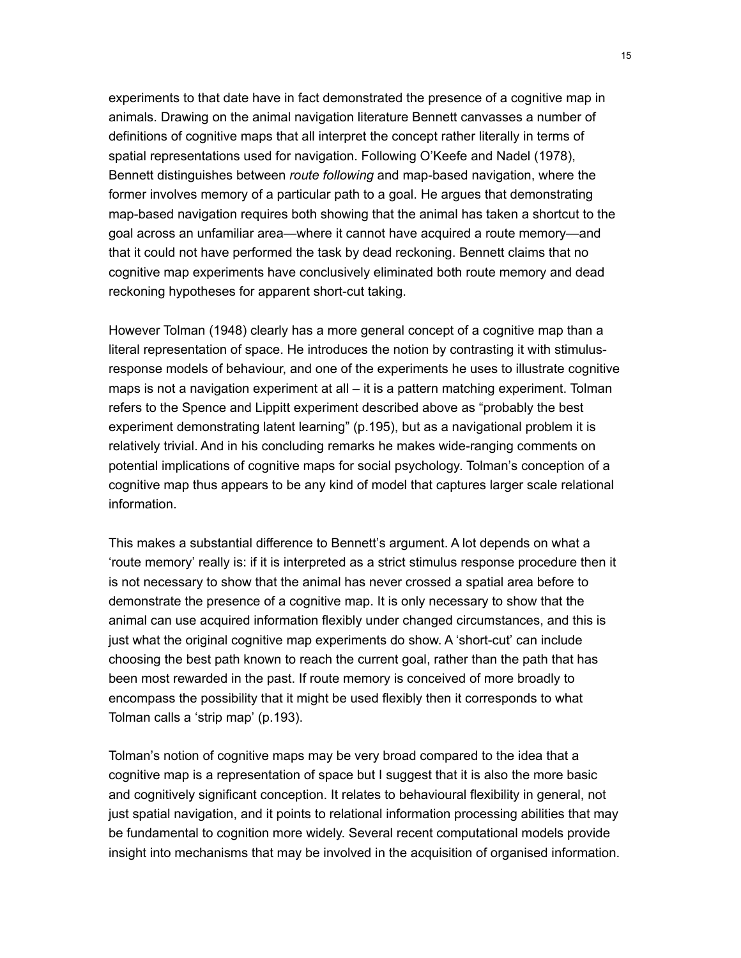experiments to that date have in fact demonstrated the presence of a cognitive map in animals. Drawing on the animal navigation literature Bennett canvasses a number of definitions of cognitive maps that all interpret the concept rather literally in terms of spatial representations used for navigation. Following O'Keefe and Nadel (1978), Bennett distinguishes between *route following* and map-based navigation, where the former involves memory of a particular path to a goal. He argues that demonstrating map-based navigation requires both showing that the animal has taken a shortcut to the goal across an unfamiliar area—where it cannot have acquired a route memory—and that it could not have performed the task by dead reckoning. Bennett claims that no cognitive map experiments have conclusively eliminated both route memory and dead reckoning hypotheses for apparent short-cut taking.

However Tolman (1948) clearly has a more general concept of a cognitive map than a literal representation of space. He introduces the notion by contrasting it with stimulusresponse models of behaviour, and one of the experiments he uses to illustrate cognitive maps is not a navigation experiment at all – it is a pattern matching experiment. Tolman refers to the Spence and Lippitt experiment described above as "probably the best experiment demonstrating latent learning" (p.195), but as a navigational problem it is relatively trivial. And in his concluding remarks he makes wide-ranging comments on potential implications of cognitive maps for social psychology. Tolman's conception of a cognitive map thus appears to be any kind of model that captures larger scale relational information.

This makes a substantial difference to Bennett's argument. A lot depends on what a 'route memory' really is: if it is interpreted as a strict stimulus response procedure then it is not necessary to show that the animal has never crossed a spatial area before to demonstrate the presence of a cognitive map. It is only necessary to show that the animal can use acquired information flexibly under changed circumstances, and this is just what the original cognitive map experiments do show. A 'short-cut' can include choosing the best path known to reach the current goal, rather than the path that has been most rewarded in the past. If route memory is conceived of more broadly to encompass the possibility that it might be used flexibly then it corresponds to what Tolman calls a 'strip map' (p.193).

Tolman's notion of cognitive maps may be very broad compared to the idea that a cognitive map is a representation of space but I suggest that it is also the more basic and cognitively significant conception. It relates to behavioural flexibility in general, not just spatial navigation, and it points to relational information processing abilities that may be fundamental to cognition more widely. Several recent computational models provide insight into mechanisms that may be involved in the acquisition of organised information.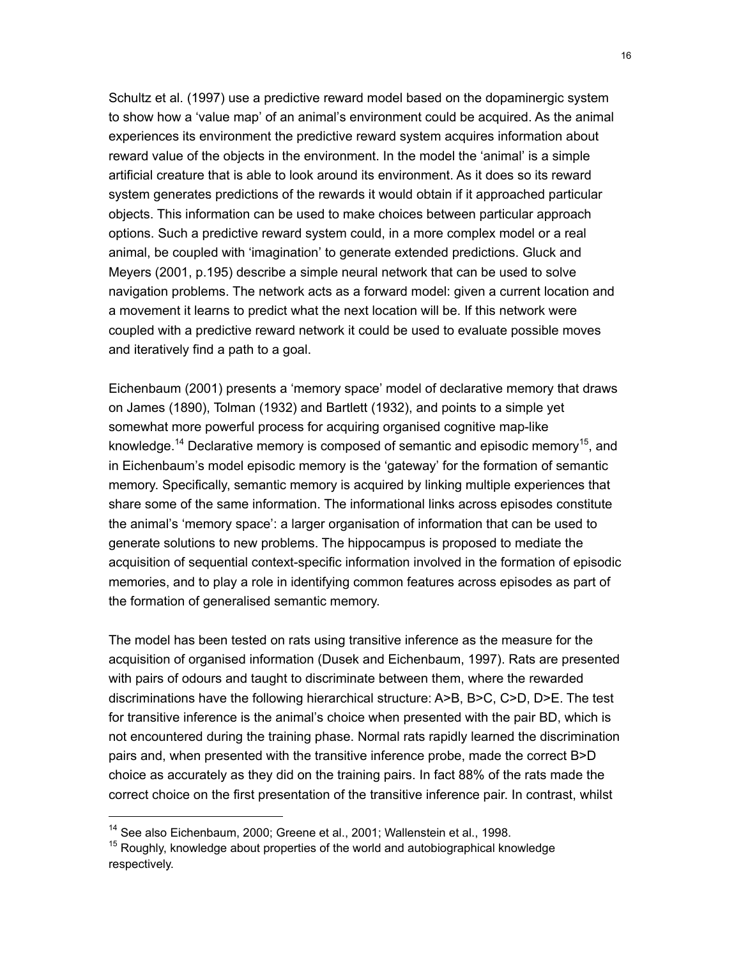Schultz et al. (1997) use a predictive reward model based on the dopaminergic system to show how a 'value map' of an animal's environment could be acquired. As the animal experiences its environment the predictive reward system acquires information about reward value of the objects in the environment. In the model the 'animal' is a simple artificial creature that is able to look around its environment. As it does so its reward system generates predictions of the rewards it would obtain if it approached particular objects. This information can be used to make choices between particular approach options. Such a predictive reward system could, in a more complex model or a real animal, be coupled with 'imagination' to generate extended predictions. Gluck and Meyers (2001, p.195) describe a simple neural network that can be used to solve navigation problems. The network acts as a forward model: given a current location and a movement it learns to predict what the next location will be. If this network were coupled with a predictive reward network it could be used to evaluate possible moves and iteratively find a path to a goal.

Eichenbaum (2001) presents a 'memory space' model of declarative memory that draws on James (1890), Tolman (1932) and Bartlett (1932), and points to a simple yet somewhat more powerful process for acquiring organised cognitive map-like knowledge.<sup>14</sup> Declarative memory is composed of semantic and episodic memory<sup>15</sup>, and in Eichenbaum's model episodic memory is the 'gateway' for the formation of semantic memory. Specifically, semantic memory is acquired by linking multiple experiences that share some of the same information. The informational links across episodes constitute the animal's 'memory space': a larger organisation of information that can be used to generate solutions to new problems. The hippocampus is proposed to mediate the acquisition of sequential context-specific information involved in the formation of episodic memories, and to play a role in identifying common features across episodes as part of the formation of generalised semantic memory.

The model has been tested on rats using transitive inference as the measure for the acquisition of organised information (Dusek and Eichenbaum, 1997). Rats are presented with pairs of odours and taught to discriminate between them, where the rewarded discriminations have the following hierarchical structure: A>B, B>C, C>D, D>E. The test for transitive inference is the animal's choice when presented with the pair BD, which is not encountered during the training phase. Normal rats rapidly learned the discrimination pairs and, when presented with the transitive inference probe, made the correct B>D choice as accurately as they did on the training pairs. In fact 88% of the rats made the correct choice on the first presentation of the transitive inference pair. In contrast, whilst

 <sup>14</sup> See also Eichenbaum, 2000; Greene et al., 2001; Wallenstein et al., 1998.

<sup>&</sup>lt;sup>15</sup> Roughly, knowledge about properties of the world and autobiographical knowledge respectively.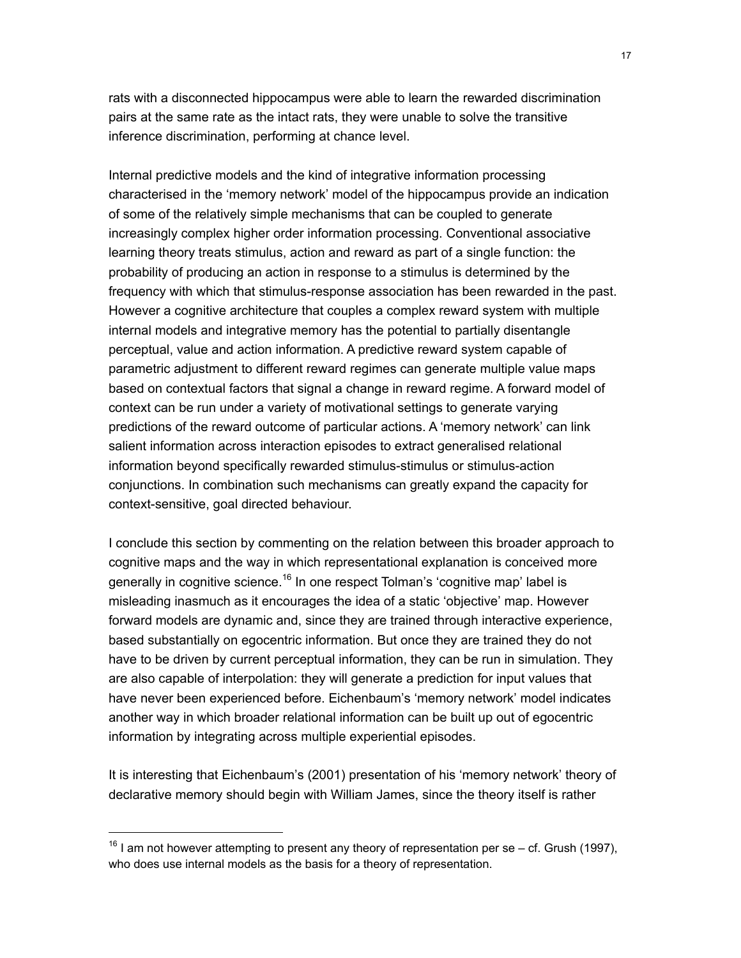rats with a disconnected hippocampus were able to learn the rewarded discrimination pairs at the same rate as the intact rats, they were unable to solve the transitive inference discrimination, performing at chance level.

Internal predictive models and the kind of integrative information processing characterised in the 'memory network' model of the hippocampus provide an indication of some of the relatively simple mechanisms that can be coupled to generate increasingly complex higher order information processing. Conventional associative learning theory treats stimulus, action and reward as part of a single function: the probability of producing an action in response to a stimulus is determined by the frequency with which that stimulus-response association has been rewarded in the past. However a cognitive architecture that couples a complex reward system with multiple internal models and integrative memory has the potential to partially disentangle perceptual, value and action information. A predictive reward system capable of parametric adjustment to different reward regimes can generate multiple value maps based on contextual factors that signal a change in reward regime. A forward model of context can be run under a variety of motivational settings to generate varying predictions of the reward outcome of particular actions. A 'memory network' can link salient information across interaction episodes to extract generalised relational information beyond specifically rewarded stimulus-stimulus or stimulus-action conjunctions. In combination such mechanisms can greatly expand the capacity for context-sensitive, goal directed behaviour.

I conclude this section by commenting on the relation between this broader approach to cognitive maps and the way in which representational explanation is conceived more generally in cognitive science.<sup>16</sup> In one respect Tolman's 'cognitive map' label is misleading inasmuch as it encourages the idea of a static 'objective' map. However forward models are dynamic and, since they are trained through interactive experience, based substantially on egocentric information. But once they are trained they do not have to be driven by current perceptual information, they can be run in simulation. They are also capable of interpolation: they will generate a prediction for input values that have never been experienced before. Eichenbaum's 'memory network' model indicates another way in which broader relational information can be built up out of egocentric information by integrating across multiple experiential episodes.

It is interesting that Eichenbaum's (2001) presentation of his 'memory network' theory of declarative memory should begin with William James, since the theory itself is rather

<sup>16&</sup>lt;br><sup>16</sup> I am not however attempting to present any theory of representation per se – cf. Grush (1997), who does use internal models as the basis for a theory of representation.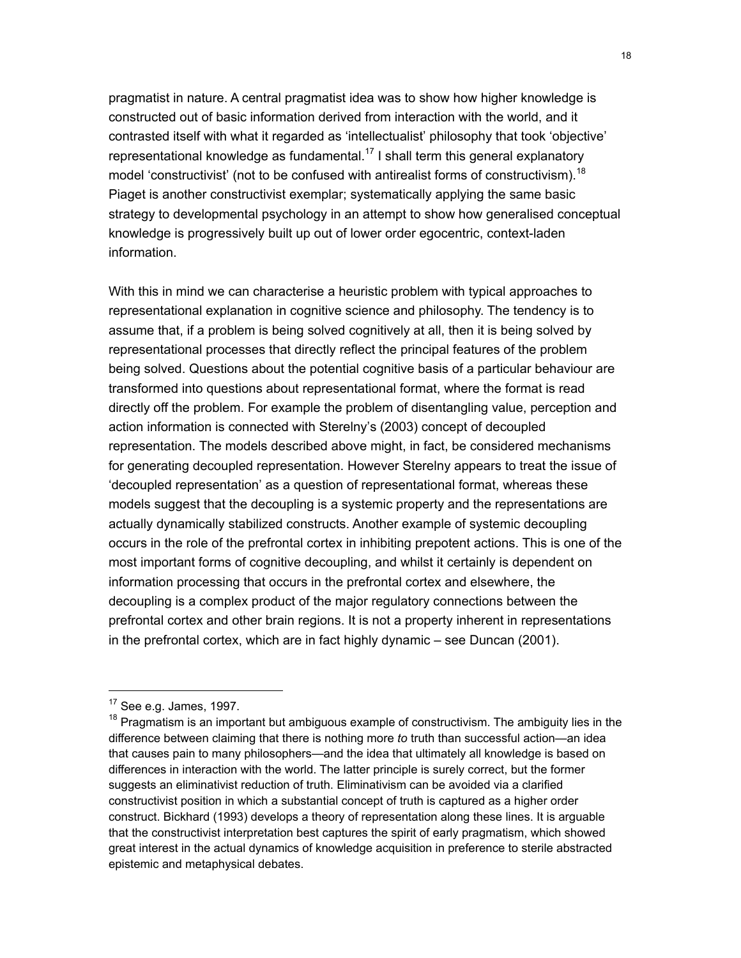pragmatist in nature. A central pragmatist idea was to show how higher knowledge is constructed out of basic information derived from interaction with the world, and it contrasted itself with what it regarded as 'intellectualist' philosophy that took 'objective' representational knowledge as fundamental. $^{17}$  I shall term this general explanatory model 'constructivist' (not to be confused with antirealist forms of constructivism).<sup>18</sup> Piaget is another constructivist exemplar; systematically applying the same basic strategy to developmental psychology in an attempt to show how generalised conceptual knowledge is progressively built up out of lower order egocentric, context-laden information.

With this in mind we can characterise a heuristic problem with typical approaches to representational explanation in cognitive science and philosophy. The tendency is to assume that, if a problem is being solved cognitively at all, then it is being solved by representational processes that directly reflect the principal features of the problem being solved. Questions about the potential cognitive basis of a particular behaviour are transformed into questions about representational format, where the format is read directly off the problem. For example the problem of disentangling value, perception and action information is connected with Sterelny's (2003) concept of decoupled representation. The models described above might, in fact, be considered mechanisms for generating decoupled representation. However Sterelny appears to treat the issue of 'decoupled representation' as a question of representational format, whereas these models suggest that the decoupling is a systemic property and the representations are actually dynamically stabilized constructs. Another example of systemic decoupling occurs in the role of the prefrontal cortex in inhibiting prepotent actions. This is one of the most important forms of cognitive decoupling, and whilst it certainly is dependent on information processing that occurs in the prefrontal cortex and elsewhere, the decoupling is a complex product of the major regulatory connections between the prefrontal cortex and other brain regions. It is not a property inherent in representations in the prefrontal cortex, which are in fact highly dynamic – see Duncan (2001).

 <sup>17</sup> See e.g. James, 1997.

 $18$  Pragmatism is an important but ambiguous example of constructivism. The ambiguity lies in the difference between claiming that there is nothing more *to* truth than successful action—an idea that causes pain to many philosophers—and the idea that ultimately all knowledge is based on differences in interaction with the world. The latter principle is surely correct, but the former suggests an eliminativist reduction of truth. Eliminativism can be avoided via a clarified constructivist position in which a substantial concept of truth is captured as a higher order construct. Bickhard (1993) develops a theory of representation along these lines. It is arguable that the constructivist interpretation best captures the spirit of early pragmatism, which showed great interest in the actual dynamics of knowledge acquisition in preference to sterile abstracted epistemic and metaphysical debates.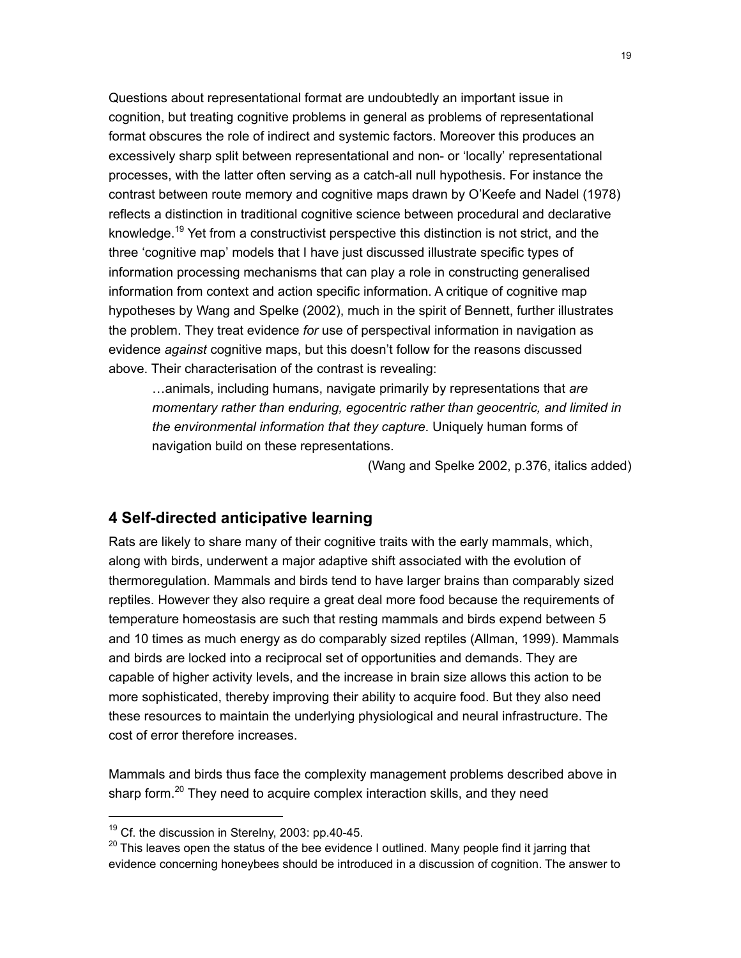Questions about representational format are undoubtedly an important issue in cognition, but treating cognitive problems in general as problems of representational format obscures the role of indirect and systemic factors. Moreover this produces an excessively sharp split between representational and non- or 'locally' representational processes, with the latter often serving as a catch-all null hypothesis. For instance the contrast between route memory and cognitive maps drawn by O'Keefe and Nadel (1978) reflects a distinction in traditional cognitive science between procedural and declarative knowledge.<sup>19</sup> Yet from a constructivist perspective this distinction is not strict, and the three 'cognitive map' models that I have just discussed illustrate specific types of information processing mechanisms that can play a role in constructing generalised information from context and action specific information. A critique of cognitive map hypotheses by Wang and Spelke (2002), much in the spirit of Bennett, further illustrates the problem. They treat evidence *for* use of perspectival information in navigation as evidence *against* cognitive maps, but this doesn't follow for the reasons discussed above. Their characterisation of the contrast is revealing:

…animals, including humans, navigate primarily by representations that *are momentary rather than enduring, egocentric rather than geocentric, and limited in the environmental information that they capture*. Uniquely human forms of navigation build on these representations.

(Wang and Spelke 2002, p.376, italics added)

### **4 Self-directed anticipative learning**

Rats are likely to share many of their cognitive traits with the early mammals, which, along with birds, underwent a major adaptive shift associated with the evolution of thermoregulation. Mammals and birds tend to have larger brains than comparably sized reptiles. However they also require a great deal more food because the requirements of temperature homeostasis are such that resting mammals and birds expend between 5 and 10 times as much energy as do comparably sized reptiles (Allman, 1999). Mammals and birds are locked into a reciprocal set of opportunities and demands. They are capable of higher activity levels, and the increase in brain size allows this action to be more sophisticated, thereby improving their ability to acquire food. But they also need these resources to maintain the underlying physiological and neural infrastructure. The cost of error therefore increases.

Mammals and birds thus face the complexity management problems described above in sharp form.<sup>20</sup> They need to acquire complex interaction skills, and they need

 <sup>19</sup> Cf. the discussion in Sterelny, 2003: pp.40-45.

 $20$  This leaves open the status of the bee evidence I outlined. Many people find it jarring that evidence concerning honeybees should be introduced in a discussion of cognition. The answer to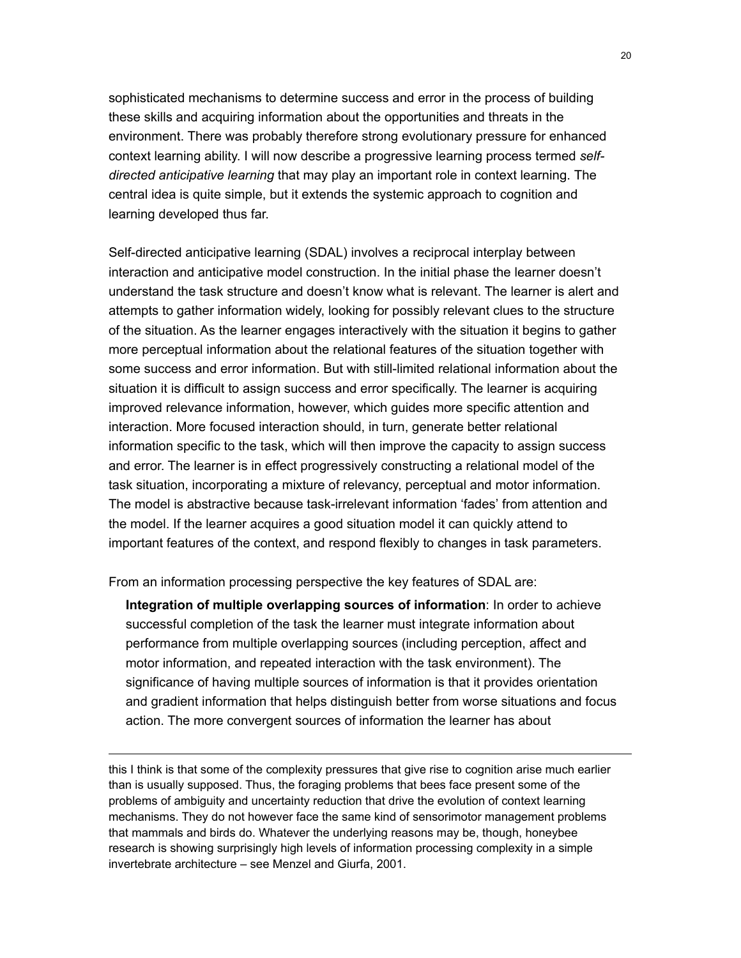sophisticated mechanisms to determine success and error in the process of building these skills and acquiring information about the opportunities and threats in the environment. There was probably therefore strong evolutionary pressure for enhanced context learning ability. I will now describe a progressive learning process termed *selfdirected anticipative learning* that may play an important role in context learning. The central idea is quite simple, but it extends the systemic approach to cognition and learning developed thus far.

Self-directed anticipative learning (SDAL) involves a reciprocal interplay between interaction and anticipative model construction. In the initial phase the learner doesn't understand the task structure and doesn't know what is relevant. The learner is alert and attempts to gather information widely, looking for possibly relevant clues to the structure of the situation. As the learner engages interactively with the situation it begins to gather more perceptual information about the relational features of the situation together with some success and error information. But with still-limited relational information about the situation it is difficult to assign success and error specifically. The learner is acquiring improved relevance information, however, which guides more specific attention and interaction. More focused interaction should, in turn, generate better relational information specific to the task, which will then improve the capacity to assign success and error. The learner is in effect progressively constructing a relational model of the task situation, incorporating a mixture of relevancy, perceptual and motor information. The model is abstractive because task-irrelevant information 'fades' from attention and the model. If the learner acquires a good situation model it can quickly attend to important features of the context, and respond flexibly to changes in task parameters.

From an information processing perspective the key features of SDAL are:

 $\overline{a}$ 

**Integration of multiple overlapping sources of information**: In order to achieve successful completion of the task the learner must integrate information about performance from multiple overlapping sources (including perception, affect and motor information, and repeated interaction with the task environment). The significance of having multiple sources of information is that it provides orientation and gradient information that helps distinguish better from worse situations and focus action. The more convergent sources of information the learner has about

this I think is that some of the complexity pressures that give rise to cognition arise much earlier than is usually supposed. Thus, the foraging problems that bees face present some of the problems of ambiguity and uncertainty reduction that drive the evolution of context learning mechanisms. They do not however face the same kind of sensorimotor management problems that mammals and birds do. Whatever the underlying reasons may be, though, honeybee research is showing surprisingly high levels of information processing complexity in a simple invertebrate architecture – see Menzel and Giurfa, 2001.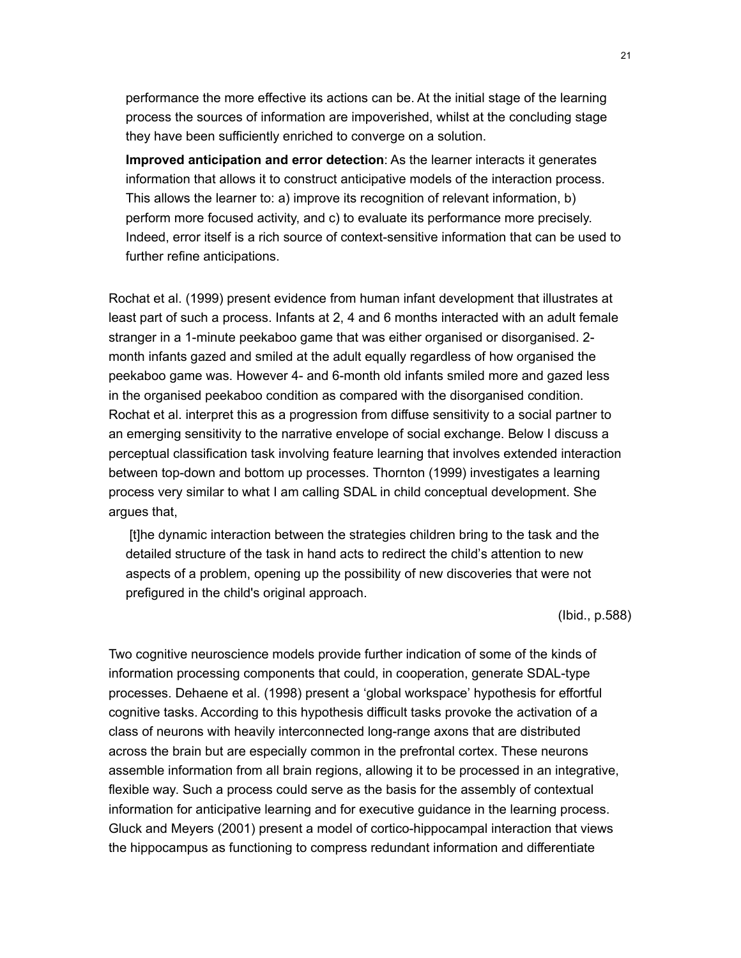performance the more effective its actions can be. At the initial stage of the learning process the sources of information are impoverished, whilst at the concluding stage they have been sufficiently enriched to converge on a solution.

**Improved anticipation and error detection**: As the learner interacts it generates information that allows it to construct anticipative models of the interaction process. This allows the learner to: a) improve its recognition of relevant information, b) perform more focused activity, and c) to evaluate its performance more precisely. Indeed, error itself is a rich source of context-sensitive information that can be used to further refine anticipations.

Rochat et al. (1999) present evidence from human infant development that illustrates at least part of such a process. Infants at 2, 4 and 6 months interacted with an adult female stranger in a 1-minute peekaboo game that was either organised or disorganised. 2 month infants gazed and smiled at the adult equally regardless of how organised the peekaboo game was. However 4- and 6-month old infants smiled more and gazed less in the organised peekaboo condition as compared with the disorganised condition. Rochat et al. interpret this as a progression from diffuse sensitivity to a social partner to an emerging sensitivity to the narrative envelope of social exchange. Below I discuss a perceptual classification task involving feature learning that involves extended interaction between top-down and bottom up processes. Thornton (1999) investigates a learning process very similar to what I am calling SDAL in child conceptual development. She argues that,

 [t]he dynamic interaction between the strategies children bring to the task and the detailed structure of the task in hand acts to redirect the child's attention to new aspects of a problem, opening up the possibility of new discoveries that were not prefigured in the child's original approach.

(Ibid., p.588)

Two cognitive neuroscience models provide further indication of some of the kinds of information processing components that could, in cooperation, generate SDAL-type processes. Dehaene et al. (1998) present a 'global workspace' hypothesis for effortful cognitive tasks. According to this hypothesis difficult tasks provoke the activation of a class of neurons with heavily interconnected long-range axons that are distributed across the brain but are especially common in the prefrontal cortex. These neurons assemble information from all brain regions, allowing it to be processed in an integrative, flexible way. Such a process could serve as the basis for the assembly of contextual information for anticipative learning and for executive guidance in the learning process. Gluck and Meyers (2001) present a model of cortico-hippocampal interaction that views the hippocampus as functioning to compress redundant information and differentiate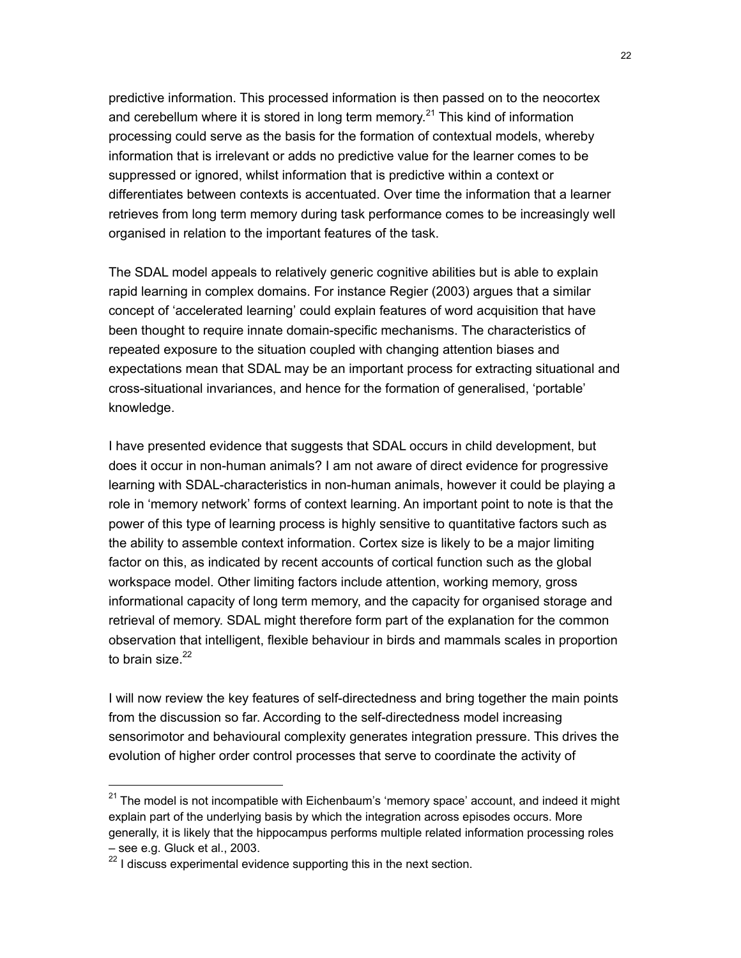predictive information. This processed information is then passed on to the neocortex and cerebellum where it is stored in long term memory.<sup>21</sup> This kind of information processing could serve as the basis for the formation of contextual models, whereby information that is irrelevant or adds no predictive value for the learner comes to be suppressed or ignored, whilst information that is predictive within a context or differentiates between contexts is accentuated. Over time the information that a learner retrieves from long term memory during task performance comes to be increasingly well organised in relation to the important features of the task.

The SDAL model appeals to relatively generic cognitive abilities but is able to explain rapid learning in complex domains. For instance Regier (2003) argues that a similar concept of 'accelerated learning' could explain features of word acquisition that have been thought to require innate domain-specific mechanisms. The characteristics of repeated exposure to the situation coupled with changing attention biases and expectations mean that SDAL may be an important process for extracting situational and cross-situational invariances, and hence for the formation of generalised, 'portable' knowledge.

I have presented evidence that suggests that SDAL occurs in child development, but does it occur in non-human animals? I am not aware of direct evidence for progressive learning with SDAL-characteristics in non-human animals, however it could be playing a role in 'memory network' forms of context learning. An important point to note is that the power of this type of learning process is highly sensitive to quantitative factors such as the ability to assemble context information. Cortex size is likely to be a major limiting factor on this, as indicated by recent accounts of cortical function such as the global workspace model. Other limiting factors include attention, working memory, gross informational capacity of long term memory, and the capacity for organised storage and retrieval of memory. SDAL might therefore form part of the explanation for the common observation that intelligent, flexible behaviour in birds and mammals scales in proportion to brain size. $22$ 

I will now review the key features of self-directedness and bring together the main points from the discussion so far. According to the self-directedness model increasing sensorimotor and behavioural complexity generates integration pressure. This drives the evolution of higher order control processes that serve to coordinate the activity of

 $21$  The model is not incompatible with Eichenbaum's 'memory space' account, and indeed it might explain part of the underlying basis by which the integration across episodes occurs. More generally, it is likely that the hippocampus performs multiple related information processing roles – see e.g. Gluck et al., 2003.

 $22$  I discuss experimental evidence supporting this in the next section.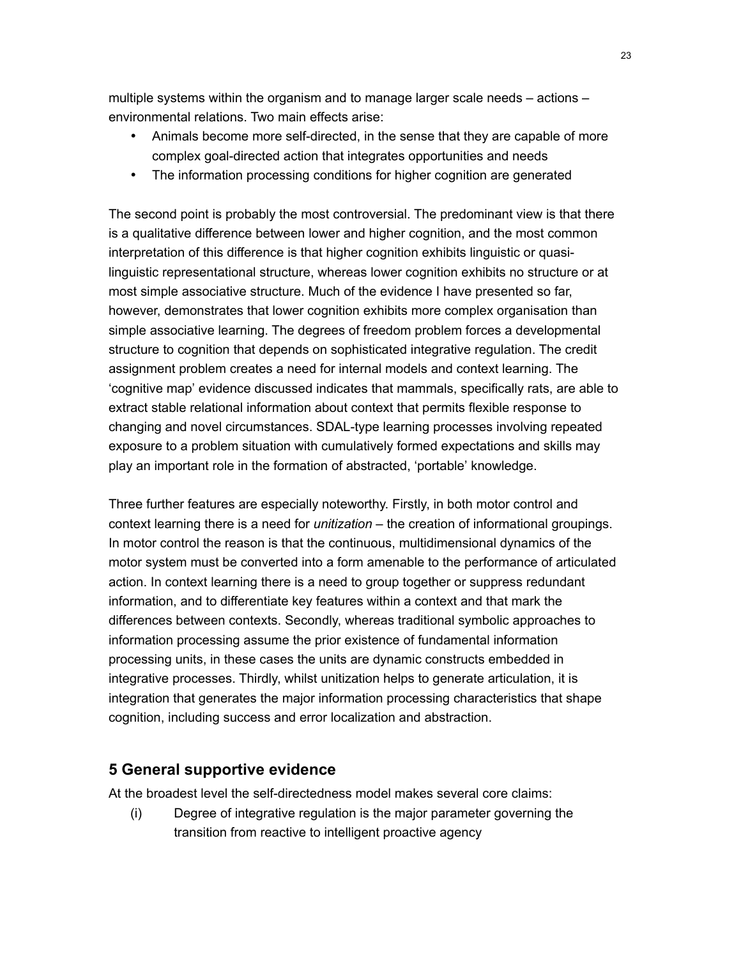multiple systems within the organism and to manage larger scale needs – actions – environmental relations. Two main effects arise:

- Animals become more self-directed, in the sense that they are capable of more complex goal-directed action that integrates opportunities and needs
- The information processing conditions for higher cognition are generated

The second point is probably the most controversial. The predominant view is that there is a qualitative difference between lower and higher cognition, and the most common interpretation of this difference is that higher cognition exhibits linguistic or quasilinguistic representational structure, whereas lower cognition exhibits no structure or at most simple associative structure. Much of the evidence I have presented so far, however, demonstrates that lower cognition exhibits more complex organisation than simple associative learning. The degrees of freedom problem forces a developmental structure to cognition that depends on sophisticated integrative regulation. The credit assignment problem creates a need for internal models and context learning. The 'cognitive map' evidence discussed indicates that mammals, specifically rats, are able to extract stable relational information about context that permits flexible response to changing and novel circumstances. SDAL-type learning processes involving repeated exposure to a problem situation with cumulatively formed expectations and skills may play an important role in the formation of abstracted, 'portable' knowledge.

Three further features are especially noteworthy. Firstly, in both motor control and context learning there is a need for *unitization* – the creation of informational groupings. In motor control the reason is that the continuous, multidimensional dynamics of the motor system must be converted into a form amenable to the performance of articulated action. In context learning there is a need to group together or suppress redundant information, and to differentiate key features within a context and that mark the differences between contexts. Secondly, whereas traditional symbolic approaches to information processing assume the prior existence of fundamental information processing units, in these cases the units are dynamic constructs embedded in integrative processes. Thirdly, whilst unitization helps to generate articulation, it is integration that generates the major information processing characteristics that shape cognition, including success and error localization and abstraction.

## **5 General supportive evidence**

At the broadest level the self-directedness model makes several core claims:

(i) Degree of integrative regulation is the major parameter governing the transition from reactive to intelligent proactive agency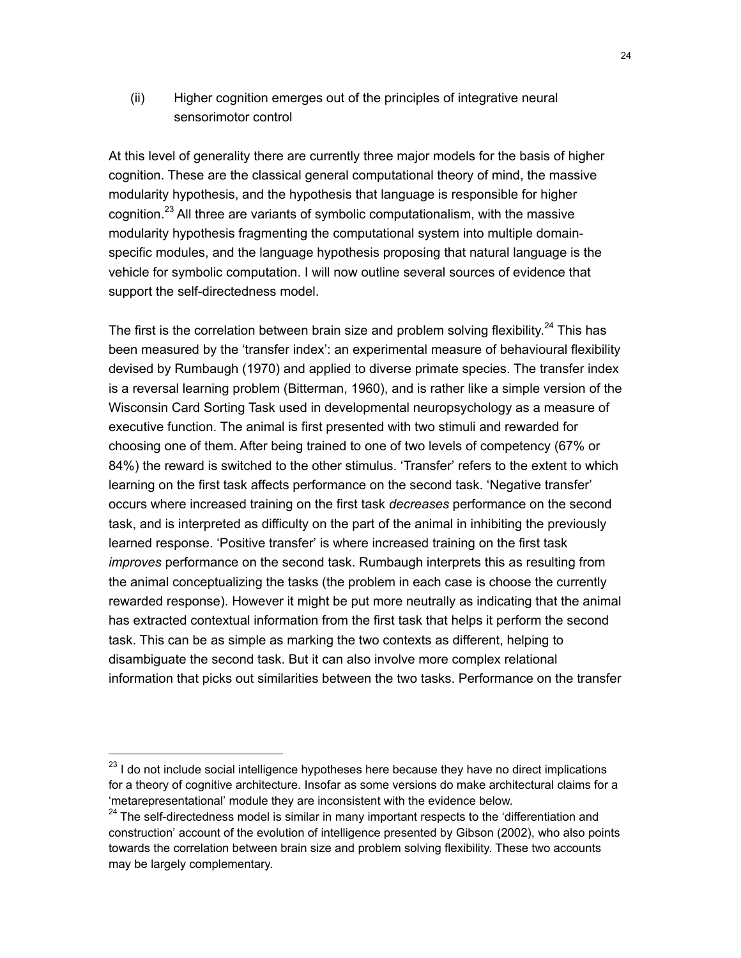(ii) Higher cognition emerges out of the principles of integrative neural sensorimotor control

At this level of generality there are currently three major models for the basis of higher cognition. These are the classical general computational theory of mind, the massive modularity hypothesis, and the hypothesis that language is responsible for higher cognition.<sup>23</sup> All three are variants of symbolic computationalism, with the massive modularity hypothesis fragmenting the computational system into multiple domainspecific modules, and the language hypothesis proposing that natural language is the vehicle for symbolic computation. I will now outline several sources of evidence that support the self-directedness model.

The first is the correlation between brain size and problem solving flexibility.<sup>24</sup> This has been measured by the 'transfer index': an experimental measure of behavioural flexibility devised by Rumbaugh (1970) and applied to diverse primate species. The transfer index is a reversal learning problem (Bitterman, 1960), and is rather like a simple version of the Wisconsin Card Sorting Task used in developmental neuropsychology as a measure of executive function. The animal is first presented with two stimuli and rewarded for choosing one of them. After being trained to one of two levels of competency (67% or 84%) the reward is switched to the other stimulus. 'Transfer' refers to the extent to which learning on the first task affects performance on the second task. 'Negative transfer' occurs where increased training on the first task *decreases* performance on the second task, and is interpreted as difficulty on the part of the animal in inhibiting the previously learned response. 'Positive transfer' is where increased training on the first task *improves* performance on the second task. Rumbaugh interprets this as resulting from the animal conceptualizing the tasks (the problem in each case is choose the currently rewarded response). However it might be put more neutrally as indicating that the animal has extracted contextual information from the first task that helps it perform the second task. This can be as simple as marking the two contexts as different, helping to disambiguate the second task. But it can also involve more complex relational information that picks out similarities between the two tasks. Performance on the transfer

 $\frac{23}{1}$  I do not include social intelligence hypotheses here because they have no direct implications for a theory of cognitive architecture. Insofar as some versions do make architectural claims for a 'metarepresentational' module they are inconsistent with the evidence below.

<sup>&</sup>lt;sup>24</sup> The self-directedness model is similar in many important respects to the 'differentiation and construction' account of the evolution of intelligence presented by Gibson (2002), who also points towards the correlation between brain size and problem solving flexibility. These two accounts may be largely complementary.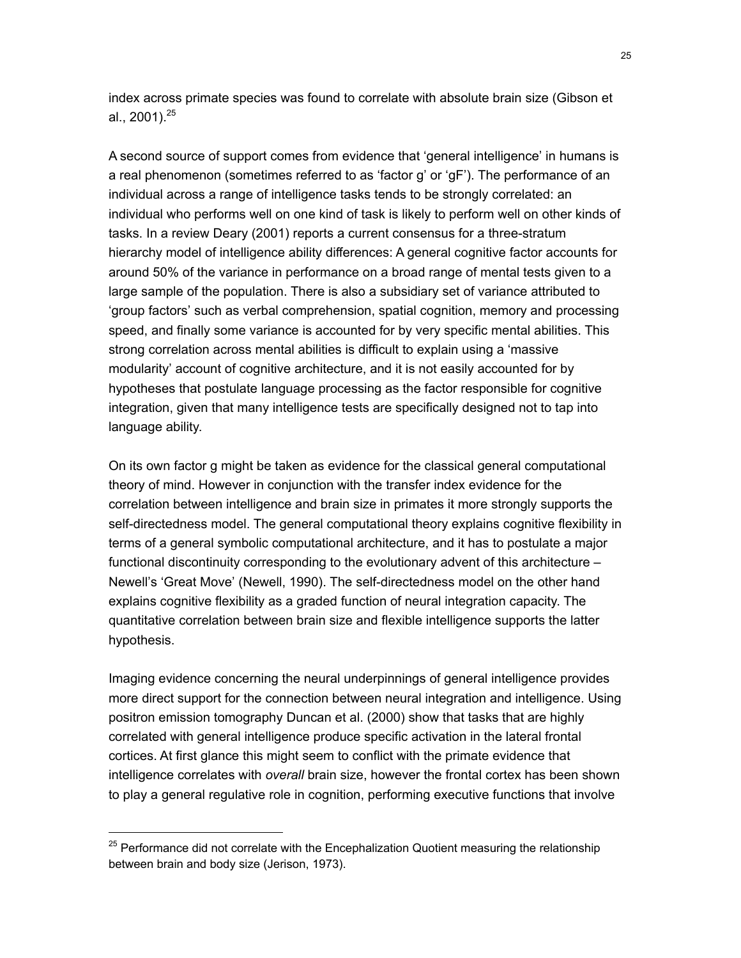index across primate species was found to correlate with absolute brain size (Gibson et al.,  $2001$ ).<sup>25</sup>

A second source of support comes from evidence that 'general intelligence' in humans is a real phenomenon (sometimes referred to as 'factor g' or 'gF'). The performance of an individual across a range of intelligence tasks tends to be strongly correlated: an individual who performs well on one kind of task is likely to perform well on other kinds of tasks. In a review Deary (2001) reports a current consensus for a three-stratum hierarchy model of intelligence ability differences: A general cognitive factor accounts for around 50% of the variance in performance on a broad range of mental tests given to a large sample of the population. There is also a subsidiary set of variance attributed to 'group factors' such as verbal comprehension, spatial cognition, memory and processing speed, and finally some variance is accounted for by very specific mental abilities. This strong correlation across mental abilities is difficult to explain using a 'massive modularity' account of cognitive architecture, and it is not easily accounted for by hypotheses that postulate language processing as the factor responsible for cognitive integration, given that many intelligence tests are specifically designed not to tap into language ability.

On its own factor g might be taken as evidence for the classical general computational theory of mind. However in conjunction with the transfer index evidence for the correlation between intelligence and brain size in primates it more strongly supports the self-directedness model. The general computational theory explains cognitive flexibility in terms of a general symbolic computational architecture, and it has to postulate a major functional discontinuity corresponding to the evolutionary advent of this architecture – Newell's 'Great Move' (Newell, 1990). The self-directedness model on the other hand explains cognitive flexibility as a graded function of neural integration capacity. The quantitative correlation between brain size and flexible intelligence supports the latter hypothesis.

Imaging evidence concerning the neural underpinnings of general intelligence provides more direct support for the connection between neural integration and intelligence. Using positron emission tomography Duncan et al. (2000) show that tasks that are highly correlated with general intelligence produce specific activation in the lateral frontal cortices. At first glance this might seem to conflict with the primate evidence that intelligence correlates with *overall* brain size, however the frontal cortex has been shown to play a general regulative role in cognition, performing executive functions that involve

 <sup>25</sup> Performance did not correlate with the Encephalization Quotient measuring the relationship between brain and body size (Jerison, 1973).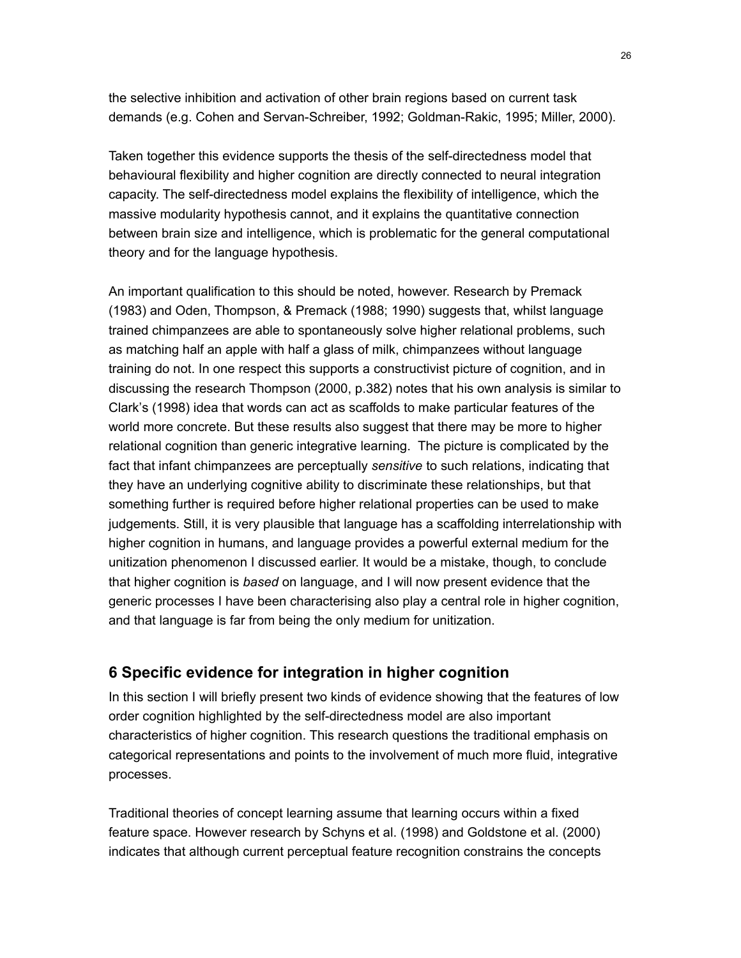the selective inhibition and activation of other brain regions based on current task demands (e.g. Cohen and Servan-Schreiber, 1992; Goldman-Rakic, 1995; Miller, 2000).

Taken together this evidence supports the thesis of the self-directedness model that behavioural flexibility and higher cognition are directly connected to neural integration capacity. The self-directedness model explains the flexibility of intelligence, which the massive modularity hypothesis cannot, and it explains the quantitative connection between brain size and intelligence, which is problematic for the general computational theory and for the language hypothesis.

An important qualification to this should be noted, however. Research by Premack (1983) and Oden, Thompson, & Premack (1988; 1990) suggests that, whilst language trained chimpanzees are able to spontaneously solve higher relational problems, such as matching half an apple with half a glass of milk, chimpanzees without language training do not. In one respect this supports a constructivist picture of cognition, and in discussing the research Thompson (2000, p.382) notes that his own analysis is similar to Clark's (1998) idea that words can act as scaffolds to make particular features of the world more concrete. But these results also suggest that there may be more to higher relational cognition than generic integrative learning. The picture is complicated by the fact that infant chimpanzees are perceptually *sensitive* to such relations, indicating that they have an underlying cognitive ability to discriminate these relationships, but that something further is required before higher relational properties can be used to make judgements. Still, it is very plausible that language has a scaffolding interrelationship with higher cognition in humans, and language provides a powerful external medium for the unitization phenomenon I discussed earlier. It would be a mistake, though, to conclude that higher cognition is *based* on language, and I will now present evidence that the generic processes I have been characterising also play a central role in higher cognition, and that language is far from being the only medium for unitization.

## **6 Specific evidence for integration in higher cognition**

In this section I will briefly present two kinds of evidence showing that the features of low order cognition highlighted by the self-directedness model are also important characteristics of higher cognition. This research questions the traditional emphasis on categorical representations and points to the involvement of much more fluid, integrative processes.

Traditional theories of concept learning assume that learning occurs within a fixed feature space. However research by Schyns et al. (1998) and Goldstone et al. (2000) indicates that although current perceptual feature recognition constrains the concepts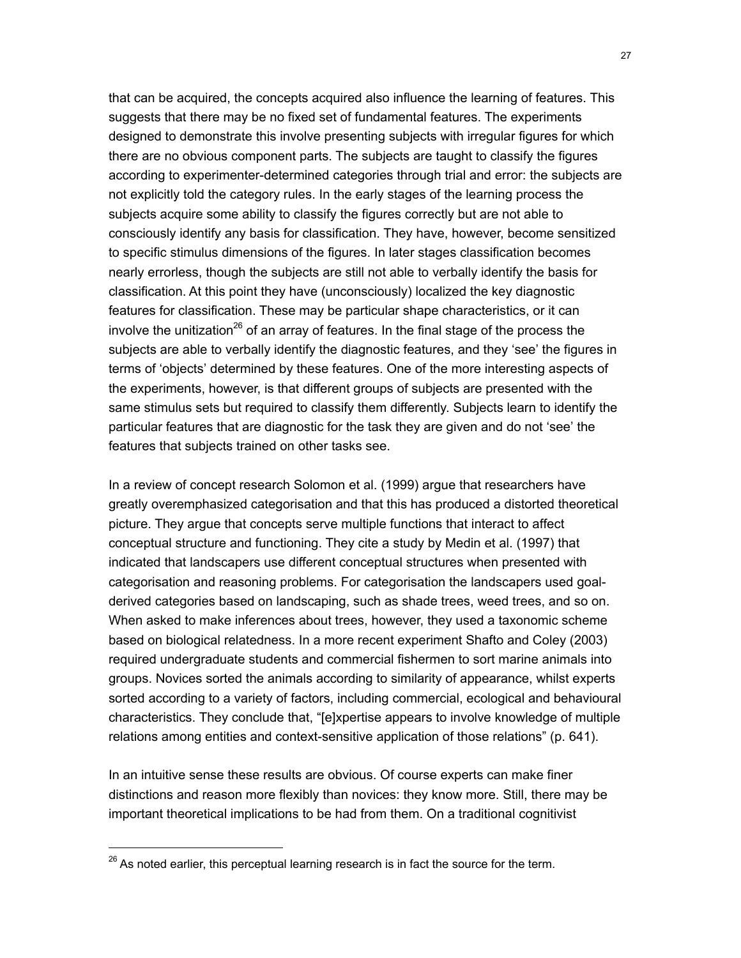that can be acquired, the concepts acquired also influence the learning of features. This suggests that there may be no fixed set of fundamental features. The experiments designed to demonstrate this involve presenting subjects with irregular figures for which there are no obvious component parts. The subjects are taught to classify the figures according to experimenter-determined categories through trial and error: the subjects are not explicitly told the category rules. In the early stages of the learning process the subjects acquire some ability to classify the figures correctly but are not able to consciously identify any basis for classification. They have, however, become sensitized to specific stimulus dimensions of the figures. In later stages classification becomes nearly errorless, though the subjects are still not able to verbally identify the basis for classification. At this point they have (unconsciously) localized the key diagnostic features for classification. These may be particular shape characteristics, or it can involve the unitization<sup>26</sup> of an array of features. In the final stage of the process the subjects are able to verbally identify the diagnostic features, and they 'see' the figures in terms of 'objects' determined by these features. One of the more interesting aspects of the experiments, however, is that different groups of subjects are presented with the same stimulus sets but required to classify them differently. Subjects learn to identify the particular features that are diagnostic for the task they are given and do not 'see' the features that subjects trained on other tasks see.

In a review of concept research Solomon et al. (1999) argue that researchers have greatly overemphasized categorisation and that this has produced a distorted theoretical picture. They argue that concepts serve multiple functions that interact to affect conceptual structure and functioning. They cite a study by Medin et al. (1997) that indicated that landscapers use different conceptual structures when presented with categorisation and reasoning problems. For categorisation the landscapers used goalderived categories based on landscaping, such as shade trees, weed trees, and so on. When asked to make inferences about trees, however, they used a taxonomic scheme based on biological relatedness. In a more recent experiment Shafto and Coley (2003) required undergraduate students and commercial fishermen to sort marine animals into groups. Novices sorted the animals according to similarity of appearance, whilst experts sorted according to a variety of factors, including commercial, ecological and behavioural characteristics. They conclude that, "[e]xpertise appears to involve knowledge of multiple relations among entities and context-sensitive application of those relations" (p. 641).

In an intuitive sense these results are obvious. Of course experts can make finer distinctions and reason more flexibly than novices: they know more. Still, there may be important theoretical implications to be had from them. On a traditional cognitivist

 $26$  As noted earlier, this perceptual learning research is in fact the source for the term.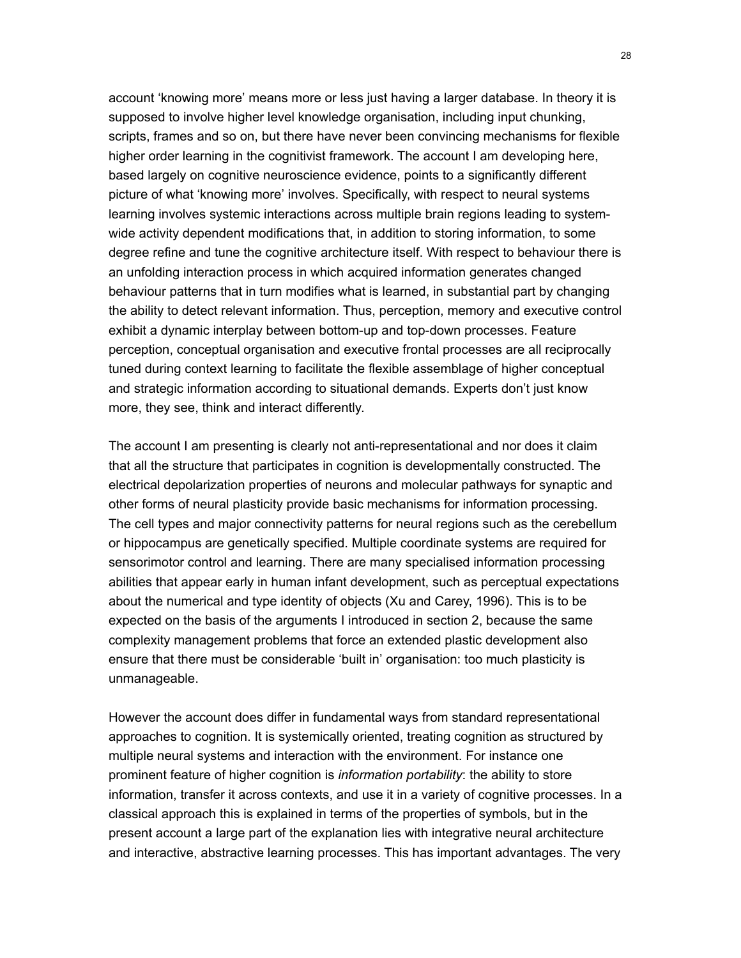account 'knowing more' means more or less just having a larger database. In theory it is supposed to involve higher level knowledge organisation, including input chunking, scripts, frames and so on, but there have never been convincing mechanisms for flexible higher order learning in the cognitivist framework. The account I am developing here, based largely on cognitive neuroscience evidence, points to a significantly different picture of what 'knowing more' involves. Specifically, with respect to neural systems learning involves systemic interactions across multiple brain regions leading to systemwide activity dependent modifications that, in addition to storing information, to some degree refine and tune the cognitive architecture itself. With respect to behaviour there is an unfolding interaction process in which acquired information generates changed behaviour patterns that in turn modifies what is learned, in substantial part by changing the ability to detect relevant information. Thus, perception, memory and executive control exhibit a dynamic interplay between bottom-up and top-down processes. Feature perception, conceptual organisation and executive frontal processes are all reciprocally tuned during context learning to facilitate the flexible assemblage of higher conceptual and strategic information according to situational demands. Experts don't just know more, they see, think and interact differently.

The account I am presenting is clearly not anti-representational and nor does it claim that all the structure that participates in cognition is developmentally constructed. The electrical depolarization properties of neurons and molecular pathways for synaptic and other forms of neural plasticity provide basic mechanisms for information processing. The cell types and major connectivity patterns for neural regions such as the cerebellum or hippocampus are genetically specified. Multiple coordinate systems are required for sensorimotor control and learning. There are many specialised information processing abilities that appear early in human infant development, such as perceptual expectations about the numerical and type identity of objects (Xu and Carey, 1996). This is to be expected on the basis of the arguments I introduced in section 2, because the same complexity management problems that force an extended plastic development also ensure that there must be considerable 'built in' organisation: too much plasticity is unmanageable.

However the account does differ in fundamental ways from standard representational approaches to cognition. It is systemically oriented, treating cognition as structured by multiple neural systems and interaction with the environment. For instance one prominent feature of higher cognition is *information portability*: the ability to store information, transfer it across contexts, and use it in a variety of cognitive processes. In a classical approach this is explained in terms of the properties of symbols, but in the present account a large part of the explanation lies with integrative neural architecture and interactive, abstractive learning processes. This has important advantages. The very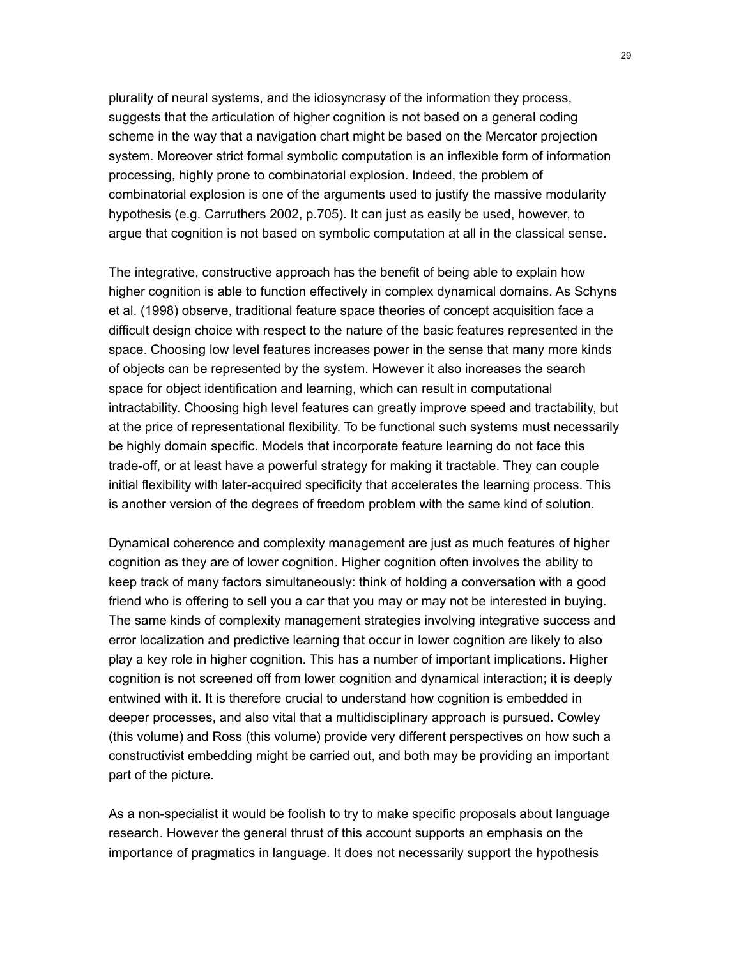plurality of neural systems, and the idiosyncrasy of the information they process, suggests that the articulation of higher cognition is not based on a general coding scheme in the way that a navigation chart might be based on the Mercator projection system. Moreover strict formal symbolic computation is an inflexible form of information processing, highly prone to combinatorial explosion. Indeed, the problem of combinatorial explosion is one of the arguments used to justify the massive modularity hypothesis (e.g. Carruthers 2002, p.705). It can just as easily be used, however, to argue that cognition is not based on symbolic computation at all in the classical sense.

The integrative, constructive approach has the benefit of being able to explain how higher cognition is able to function effectively in complex dynamical domains. As Schyns et al. (1998) observe, traditional feature space theories of concept acquisition face a difficult design choice with respect to the nature of the basic features represented in the space. Choosing low level features increases power in the sense that many more kinds of objects can be represented by the system. However it also increases the search space for object identification and learning, which can result in computational intractability. Choosing high level features can greatly improve speed and tractability, but at the price of representational flexibility. To be functional such systems must necessarily be highly domain specific. Models that incorporate feature learning do not face this trade-off, or at least have a powerful strategy for making it tractable. They can couple initial flexibility with later-acquired specificity that accelerates the learning process. This is another version of the degrees of freedom problem with the same kind of solution.

Dynamical coherence and complexity management are just as much features of higher cognition as they are of lower cognition. Higher cognition often involves the ability to keep track of many factors simultaneously: think of holding a conversation with a good friend who is offering to sell you a car that you may or may not be interested in buying. The same kinds of complexity management strategies involving integrative success and error localization and predictive learning that occur in lower cognition are likely to also play a key role in higher cognition. This has a number of important implications. Higher cognition is not screened off from lower cognition and dynamical interaction; it is deeply entwined with it. It is therefore crucial to understand how cognition is embedded in deeper processes, and also vital that a multidisciplinary approach is pursued. Cowley (this volume) and Ross (this volume) provide very different perspectives on how such a constructivist embedding might be carried out, and both may be providing an important part of the picture.

As a non-specialist it would be foolish to try to make specific proposals about language research. However the general thrust of this account supports an emphasis on the importance of pragmatics in language. It does not necessarily support the hypothesis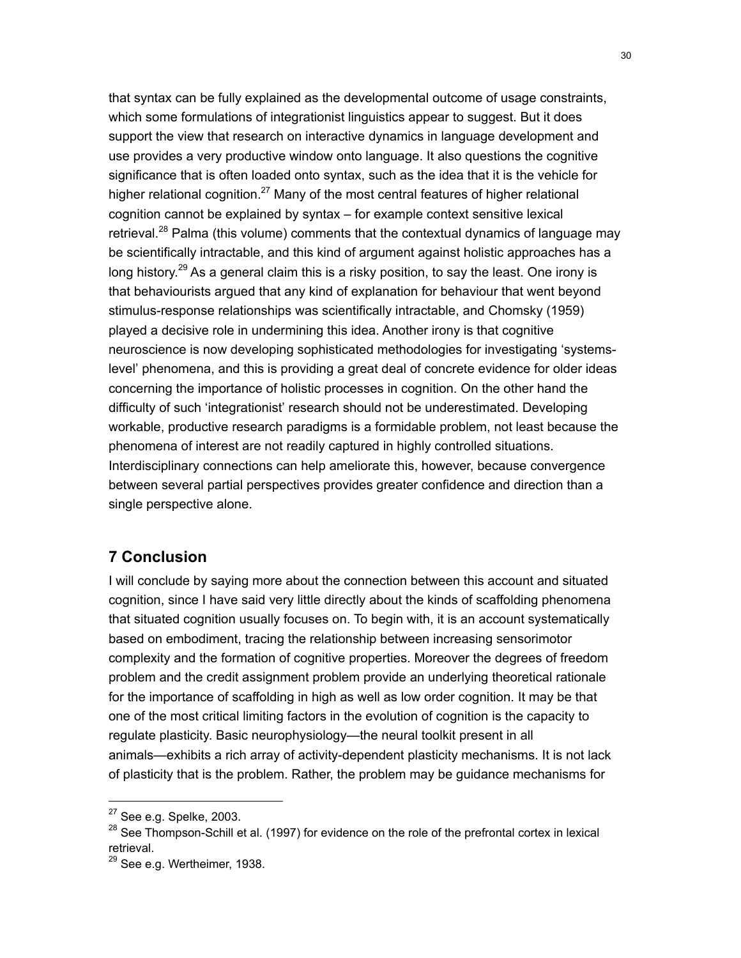that syntax can be fully explained as the developmental outcome of usage constraints, which some formulations of integrationist linguistics appear to suggest. But it does support the view that research on interactive dynamics in language development and use provides a very productive window onto language. It also questions the cognitive significance that is often loaded onto syntax, such as the idea that it is the vehicle for higher relational cognition.<sup>27</sup> Many of the most central features of higher relational cognition cannot be explained by syntax – for example context sensitive lexical retrieval.<sup>28</sup> Palma (this volume) comments that the contextual dynamics of language may be scientifically intractable, and this kind of argument against holistic approaches has a long history.<sup>29</sup> As a general claim this is a risky position, to say the least. One irony is that behaviourists argued that any kind of explanation for behaviour that went beyond stimulus-response relationships was scientifically intractable, and Chomsky (1959) played a decisive role in undermining this idea. Another irony is that cognitive neuroscience is now developing sophisticated methodologies for investigating 'systemslevel' phenomena, and this is providing a great deal of concrete evidence for older ideas concerning the importance of holistic processes in cognition. On the other hand the difficulty of such 'integrationist' research should not be underestimated. Developing workable, productive research paradigms is a formidable problem, not least because the phenomena of interest are not readily captured in highly controlled situations. Interdisciplinary connections can help ameliorate this, however, because convergence between several partial perspectives provides greater confidence and direction than a single perspective alone.

#### **7 Conclusion**

I will conclude by saying more about the connection between this account and situated cognition, since I have said very little directly about the kinds of scaffolding phenomena that situated cognition usually focuses on. To begin with, it is an account systematically based on embodiment, tracing the relationship between increasing sensorimotor complexity and the formation of cognitive properties. Moreover the degrees of freedom problem and the credit assignment problem provide an underlying theoretical rationale for the importance of scaffolding in high as well as low order cognition. It may be that one of the most critical limiting factors in the evolution of cognition is the capacity to regulate plasticity. Basic neurophysiology—the neural toolkit present in all animals—exhibits a rich array of activity-dependent plasticity mechanisms. It is not lack of plasticity that is the problem. Rather, the problem may be guidance mechanisms for

30

 $\overline{\phantom{a}^{27}$  See e.g. Spelke, 2003.

 $^{28}$  See Thompson-Schill et al. (1997) for evidence on the role of the prefrontal cortex in lexical retrieval.

<sup>&</sup>lt;sup>29</sup> See e.g. Wertheimer, 1938.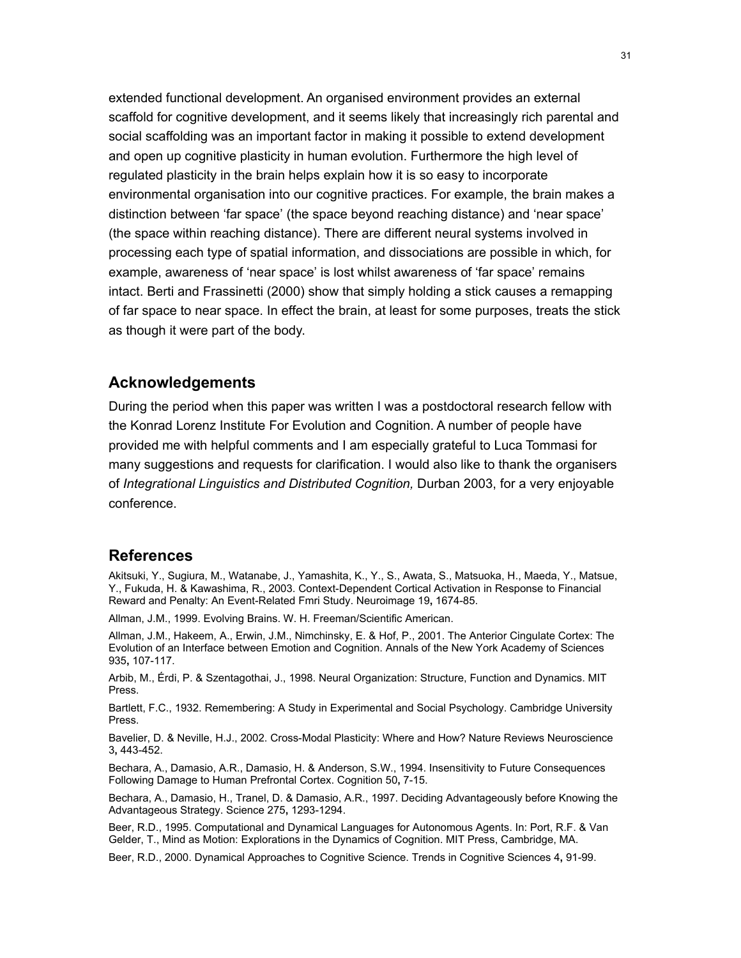extended functional development. An organised environment provides an external scaffold for cognitive development, and it seems likely that increasingly rich parental and social scaffolding was an important factor in making it possible to extend development and open up cognitive plasticity in human evolution. Furthermore the high level of regulated plasticity in the brain helps explain how it is so easy to incorporate environmental organisation into our cognitive practices. For example, the brain makes a distinction between 'far space' (the space beyond reaching distance) and 'near space' (the space within reaching distance). There are different neural systems involved in processing each type of spatial information, and dissociations are possible in which, for example, awareness of 'near space' is lost whilst awareness of 'far space' remains intact. Berti and Frassinetti (2000) show that simply holding a stick causes a remapping of far space to near space. In effect the brain, at least for some purposes, treats the stick as though it were part of the body.

#### **Acknowledgements**

During the period when this paper was written I was a postdoctoral research fellow with the Konrad Lorenz Institute For Evolution and Cognition. A number of people have provided me with helpful comments and I am especially grateful to Luca Tommasi for many suggestions and requests for clarification. I would also like to thank the organisers of *Integrational Linguistics and Distributed Cognition,* Durban 2003, for a very enjoyable conference.

#### **References**

Akitsuki, Y., Sugiura, M., Watanabe, J., Yamashita, K., Y., S., Awata, S., Matsuoka, H., Maeda, Y., Matsue, Y., Fukuda, H. & Kawashima, R., 2003. Context-Dependent Cortical Activation in Response to Financial Reward and Penalty: An Event-Related Fmri Study. Neuroimage 19**,** 1674-85.

Allman, J.M., 1999. Evolving Brains. W. H. Freeman/Scientific American.

Allman, J.M., Hakeem, A., Erwin, J.M., Nimchinsky, E. & Hof, P., 2001. The Anterior Cingulate Cortex: The Evolution of an Interface between Emotion and Cognition. Annals of the New York Academy of Sciences 935**,** 107-117.

Arbib, M., Érdi, P. & Szentagothai, J., 1998. Neural Organization: Structure, Function and Dynamics. MIT Press.

Bartlett, F.C., 1932. Remembering: A Study in Experimental and Social Psychology. Cambridge University Press.

Bavelier, D. & Neville, H.J., 2002. Cross-Modal Plasticity: Where and How? Nature Reviews Neuroscience 3**,** 443-452.

Bechara, A., Damasio, A.R., Damasio, H. & Anderson, S.W., 1994. Insensitivity to Future Consequences Following Damage to Human Prefrontal Cortex. Cognition 50**,** 7-15.

Bechara, A., Damasio, H., Tranel, D. & Damasio, A.R., 1997. Deciding Advantageously before Knowing the Advantageous Strategy. Science 275**,** 1293-1294.

Beer, R.D., 1995. Computational and Dynamical Languages for Autonomous Agents. In: Port, R.F. & Van Gelder, T., Mind as Motion: Explorations in the Dynamics of Cognition. MIT Press, Cambridge, MA.

Beer, R.D., 2000. Dynamical Approaches to Cognitive Science. Trends in Cognitive Sciences 4**,** 91-99.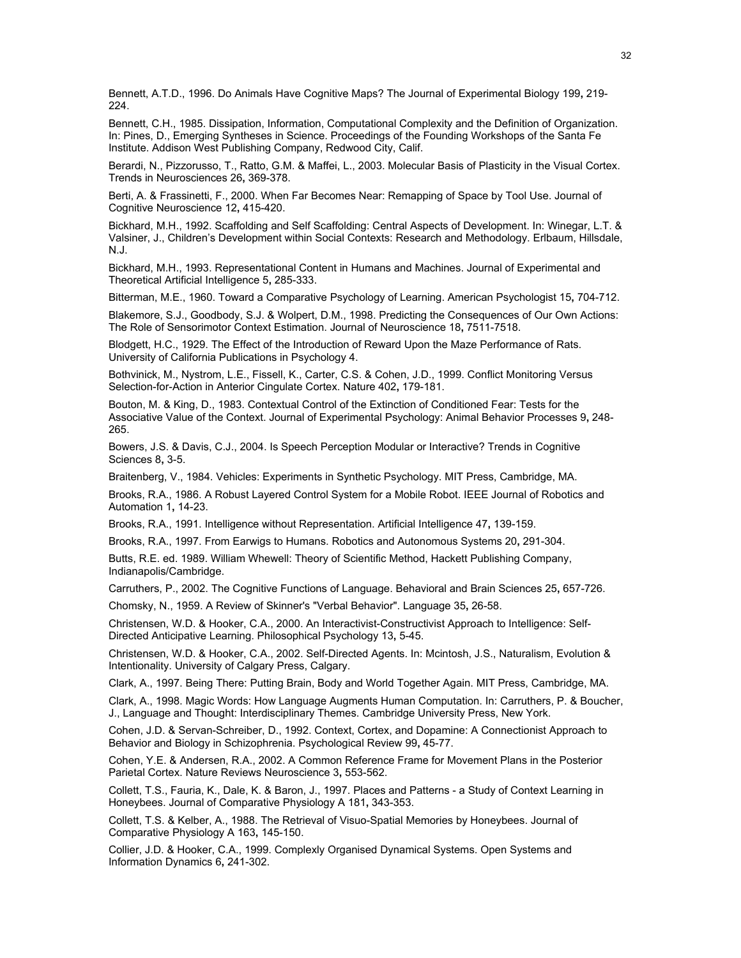Bennett, A.T.D., 1996. Do Animals Have Cognitive Maps? The Journal of Experimental Biology 199**,** 219- 224.

Bennett, C.H., 1985. Dissipation, Information, Computational Complexity and the Definition of Organization. In: Pines, D., Emerging Syntheses in Science. Proceedings of the Founding Workshops of the Santa Fe Institute. Addison West Publishing Company, Redwood City, Calif.

Berardi, N., Pizzorusso, T., Ratto, G.M. & Maffei, L., 2003. Molecular Basis of Plasticity in the Visual Cortex. Trends in Neurosciences 26**,** 369-378.

Berti, A. & Frassinetti, F., 2000. When Far Becomes Near: Remapping of Space by Tool Use. Journal of Cognitive Neuroscience 12**,** 415-420.

Bickhard, M.H., 1992. Scaffolding and Self Scaffolding: Central Aspects of Development. In: Winegar, L.T. & Valsiner, J., Children's Development within Social Contexts: Research and Methodology. Erlbaum, Hillsdale, N.J.

Bickhard, M.H., 1993. Representational Content in Humans and Machines. Journal of Experimental and Theoretical Artificial Intelligence 5**,** 285-333.

Bitterman, M.E., 1960. Toward a Comparative Psychology of Learning. American Psychologist 15**,** 704-712.

Blakemore, S.J., Goodbody, S.J. & Wolpert, D.M., 1998. Predicting the Consequences of Our Own Actions: The Role of Sensorimotor Context Estimation. Journal of Neuroscience 18**,** 7511-7518.

Blodgett, H.C., 1929. The Effect of the Introduction of Reward Upon the Maze Performance of Rats. University of California Publications in Psychology 4.

Bothvinick, M., Nystrom, L.E., Fissell, K., Carter, C.S. & Cohen, J.D., 1999. Conflict Monitoring Versus Selection-for-Action in Anterior Cingulate Cortex. Nature 402**,** 179-181.

Bouton, M. & King, D., 1983. Contextual Control of the Extinction of Conditioned Fear: Tests for the Associative Value of the Context. Journal of Experimental Psychology: Animal Behavior Processes 9**,** 248- 265.

Bowers, J.S. & Davis, C.J., 2004. Is Speech Perception Modular or Interactive? Trends in Cognitive Sciences 8**,** 3-5.

Braitenberg, V., 1984. Vehicles: Experiments in Synthetic Psychology. MIT Press, Cambridge, MA.

Brooks, R.A., 1986. A Robust Layered Control System for a Mobile Robot. IEEE Journal of Robotics and Automation 1**,** 14-23.

Brooks, R.A., 1991. Intelligence without Representation. Artificial Intelligence 47**,** 139-159.

Brooks, R.A., 1997. From Earwigs to Humans. Robotics and Autonomous Systems 20**,** 291-304.

Butts, R.E. ed. 1989. William Whewell: Theory of Scientific Method, Hackett Publishing Company, Indianapolis/Cambridge.

Carruthers, P., 2002. The Cognitive Functions of Language. Behavioral and Brain Sciences 25**,** 657-726.

Chomsky, N., 1959. A Review of Skinner's "Verbal Behavior". Language 35**,** 26-58.

Christensen, W.D. & Hooker, C.A., 2000. An Interactivist-Constructivist Approach to Intelligence: Self-Directed Anticipative Learning. Philosophical Psychology 13**,** 5-45.

Christensen, W.D. & Hooker, C.A., 2002. Self-Directed Agents. In: Mcintosh, J.S., Naturalism, Evolution & Intentionality. University of Calgary Press, Calgary.

Clark, A., 1997. Being There: Putting Brain, Body and World Together Again. MIT Press, Cambridge, MA.

Clark, A., 1998. Magic Words: How Language Augments Human Computation. In: Carruthers, P. & Boucher, J., Language and Thought: Interdisciplinary Themes. Cambridge University Press, New York.

Cohen, J.D. & Servan-Schreiber, D., 1992. Context, Cortex, and Dopamine: A Connectionist Approach to Behavior and Biology in Schizophrenia. Psychological Review 99**,** 45-77.

Cohen, Y.E. & Andersen, R.A., 2002. A Common Reference Frame for Movement Plans in the Posterior Parietal Cortex. Nature Reviews Neuroscience 3**,** 553-562.

Collett, T.S., Fauria, K., Dale, K. & Baron, J., 1997. Places and Patterns - a Study of Context Learning in Honeybees. Journal of Comparative Physiology A 181**,** 343-353.

Collett, T.S. & Kelber, A., 1988. The Retrieval of Visuo-Spatial Memories by Honeybees. Journal of Comparative Physiology A 163**,** 145-150.

Collier, J.D. & Hooker, C.A., 1999. Complexly Organised Dynamical Systems. Open Systems and Information Dynamics 6**,** 241-302.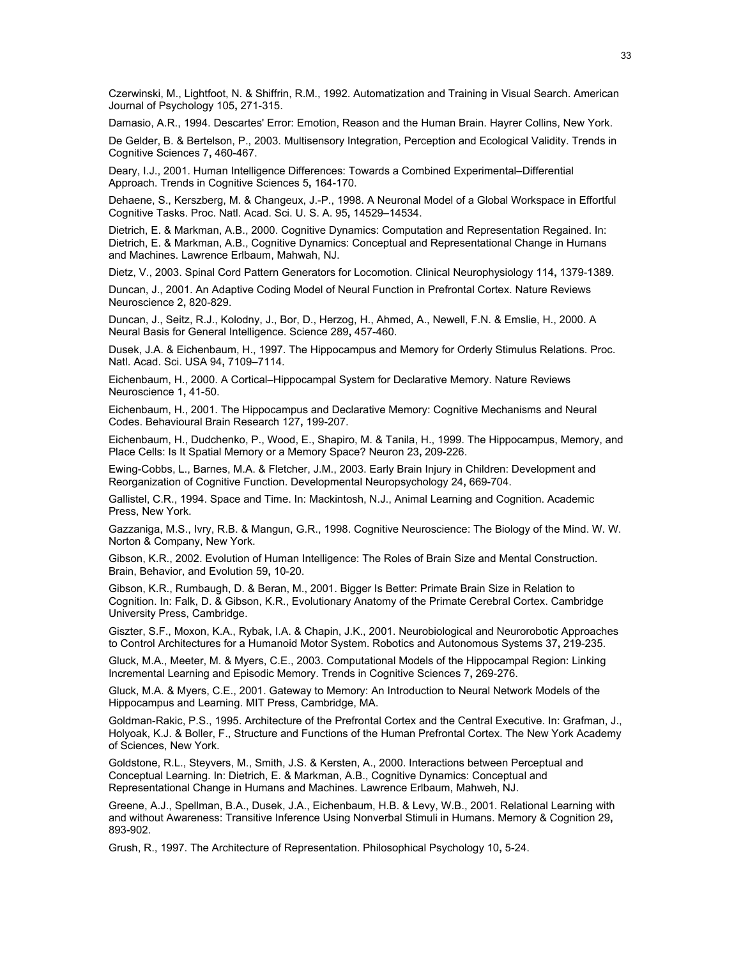Czerwinski, M., Lightfoot, N. & Shiffrin, R.M., 1992. Automatization and Training in Visual Search. American Journal of Psychology 105**,** 271-315.

Damasio, A.R., 1994. Descartes' Error: Emotion, Reason and the Human Brain. Hayrer Collins, New York.

De Gelder, B. & Bertelson, P., 2003. Multisensory Integration, Perception and Ecological Validity. Trends in Cognitive Sciences 7**,** 460-467.

Deary, I.J., 2001. Human Intelligence Differences: Towards a Combined Experimental–Differential Approach. Trends in Cognitive Sciences 5**,** 164-170.

Dehaene, S., Kerszberg, M. & Changeux, J.-P., 1998. A Neuronal Model of a Global Workspace in Effortful Cognitive Tasks. Proc. Natl. Acad. Sci. U. S. A. 95**,** 14529–14534.

Dietrich, E. & Markman, A.B., 2000. Cognitive Dynamics: Computation and Representation Regained. In: Dietrich, E. & Markman, A.B., Cognitive Dynamics: Conceptual and Representational Change in Humans and Machines. Lawrence Erlbaum, Mahwah, NJ.

Dietz, V., 2003. Spinal Cord Pattern Generators for Locomotion. Clinical Neurophysiology 114**,** 1379-1389.

Duncan, J., 2001. An Adaptive Coding Model of Neural Function in Prefrontal Cortex. Nature Reviews Neuroscience 2**,** 820-829.

Duncan, J., Seitz, R.J., Kolodny, J., Bor, D., Herzog, H., Ahmed, A., Newell, F.N. & Emslie, H., 2000. A Neural Basis for General Intelligence. Science 289**,** 457-460.

Dusek, J.A. & Eichenbaum, H., 1997. The Hippocampus and Memory for Orderly Stimulus Relations. Proc. Natl. Acad. Sci. USA 94**,** 7109–7114.

Eichenbaum, H., 2000. A Cortical–Hippocampal System for Declarative Memory. Nature Reviews Neuroscience 1**,** 41-50.

Eichenbaum, H., 2001. The Hippocampus and Declarative Memory: Cognitive Mechanisms and Neural Codes. Behavioural Brain Research 127**,** 199-207.

Eichenbaum, H., Dudchenko, P., Wood, E., Shapiro, M. & Tanila, H., 1999. The Hippocampus, Memory, and Place Cells: Is It Spatial Memory or a Memory Space? Neuron 23**,** 209-226.

Ewing-Cobbs, L., Barnes, M.A. & Fletcher, J.M., 2003. Early Brain Injury in Children: Development and Reorganization of Cognitive Function. Developmental Neuropsychology 24**,** 669-704.

Gallistel, C.R., 1994. Space and Time. In: Mackintosh, N.J., Animal Learning and Cognition. Academic Press, New York.

Gazzaniga, M.S., Ivry, R.B. & Mangun, G.R., 1998. Cognitive Neuroscience: The Biology of the Mind. W. W. Norton & Company, New York.

Gibson, K.R., 2002. Evolution of Human Intelligence: The Roles of Brain Size and Mental Construction. Brain, Behavior, and Evolution 59**,** 10-20.

Gibson, K.R., Rumbaugh, D. & Beran, M., 2001. Bigger Is Better: Primate Brain Size in Relation to Cognition. In: Falk, D. & Gibson, K.R., Evolutionary Anatomy of the Primate Cerebral Cortex. Cambridge University Press, Cambridge.

Giszter, S.F., Moxon, K.A., Rybak, I.A. & Chapin, J.K., 2001. Neurobiological and Neurorobotic Approaches to Control Architectures for a Humanoid Motor System. Robotics and Autonomous Systems 37**,** 219-235.

Gluck, M.A., Meeter, M. & Myers, C.E., 2003. Computational Models of the Hippocampal Region: Linking Incremental Learning and Episodic Memory. Trends in Cognitive Sciences 7**,** 269-276.

Gluck, M.A. & Myers, C.E., 2001. Gateway to Memory: An Introduction to Neural Network Models of the Hippocampus and Learning. MIT Press, Cambridge, MA.

Goldman-Rakic, P.S., 1995. Architecture of the Prefrontal Cortex and the Central Executive. In: Grafman, J., Holyoak, K.J. & Boller, F., Structure and Functions of the Human Prefrontal Cortex. The New York Academy of Sciences, New York.

Goldstone, R.L., Steyvers, M., Smith, J.S. & Kersten, A., 2000. Interactions between Perceptual and Conceptual Learning. In: Dietrich, E. & Markman, A.B., Cognitive Dynamics: Conceptual and Representational Change in Humans and Machines. Lawrence Erlbaum, Mahweh, NJ.

Greene, A.J., Spellman, B.A., Dusek, J.A., Eichenbaum, H.B. & Levy, W.B., 2001. Relational Learning with and without Awareness: Transitive Inference Using Nonverbal Stimuli in Humans. Memory & Cognition 29**,** 893-902.

Grush, R., 1997. The Architecture of Representation. Philosophical Psychology 10**,** 5-24.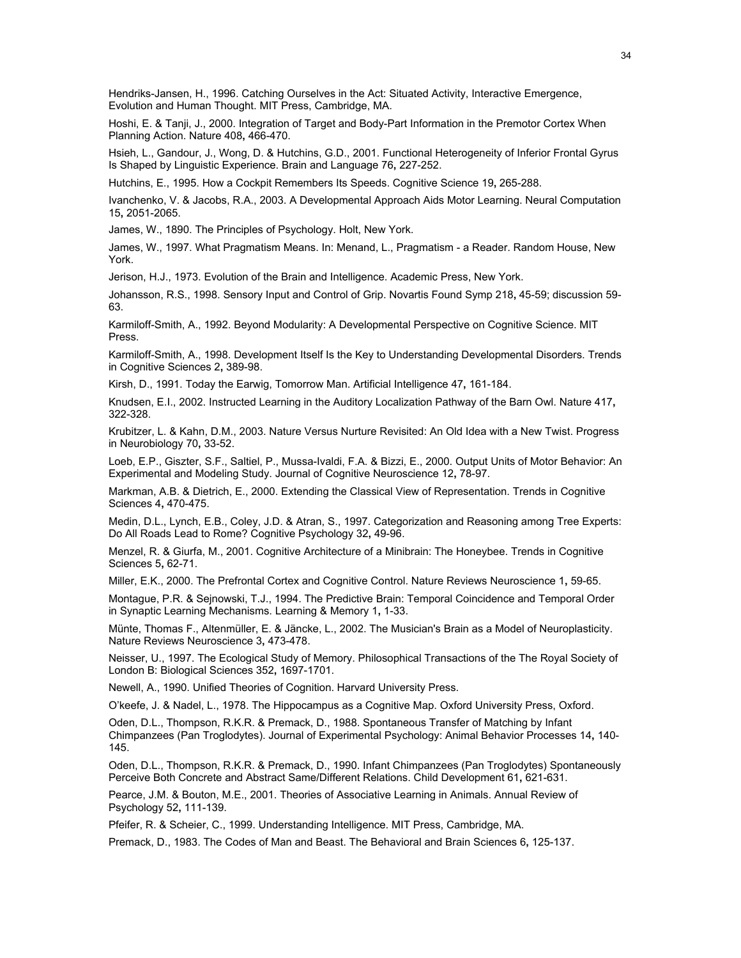Hendriks-Jansen, H., 1996. Catching Ourselves in the Act: Situated Activity, Interactive Emergence, Evolution and Human Thought. MIT Press, Cambridge, MA.

Hoshi, E. & Tanji, J., 2000. Integration of Target and Body-Part Information in the Premotor Cortex When Planning Action. Nature 408**,** 466-470.

Hsieh, L., Gandour, J., Wong, D. & Hutchins, G.D., 2001. Functional Heterogeneity of Inferior Frontal Gyrus Is Shaped by Linguistic Experience. Brain and Language 76**,** 227-252.

Hutchins, E., 1995. How a Cockpit Remembers Its Speeds. Cognitive Science 19**,** 265-288.

Ivanchenko, V. & Jacobs, R.A., 2003. A Developmental Approach Aids Motor Learning. Neural Computation 15**,** 2051-2065.

James, W., 1890. The Principles of Psychology. Holt, New York.

James, W., 1997. What Pragmatism Means. In: Menand, L., Pragmatism - a Reader. Random House, New York.

Jerison, H.J., 1973. Evolution of the Brain and Intelligence. Academic Press, New York.

Johansson, R.S., 1998. Sensory Input and Control of Grip. Novartis Found Symp 218**,** 45-59; discussion 59- 63.

Karmiloff-Smith, A., 1992. Beyond Modularity: A Developmental Perspective on Cognitive Science. MIT Press.

Karmiloff-Smith, A., 1998. Development Itself Is the Key to Understanding Developmental Disorders. Trends in Cognitive Sciences 2**,** 389-98.

Kirsh, D., 1991. Today the Earwig, Tomorrow Man. Artificial Intelligence 47**,** 161-184.

Knudsen, E.I., 2002. Instructed Learning in the Auditory Localization Pathway of the Barn Owl. Nature 417**,** 322-328.

Krubitzer, L. & Kahn, D.M., 2003. Nature Versus Nurture Revisited: An Old Idea with a New Twist. Progress in Neurobiology 70**,** 33-52.

Loeb, E.P., Giszter, S.F., Saltiel, P., Mussa-Ivaldi, F.A. & Bizzi, E., 2000. Output Units of Motor Behavior: An Experimental and Modeling Study. Journal of Cognitive Neuroscience 12**,** 78-97.

Markman, A.B. & Dietrich, E., 2000. Extending the Classical View of Representation. Trends in Cognitive Sciences 4**,** 470-475.

Medin, D.L., Lynch, E.B., Coley, J.D. & Atran, S., 1997. Categorization and Reasoning among Tree Experts: Do All Roads Lead to Rome? Cognitive Psychology 32**,** 49-96.

Menzel, R. & Giurfa, M., 2001. Cognitive Architecture of a Minibrain: The Honeybee. Trends in Cognitive Sciences 5**,** 62-71.

Miller, E.K., 2000. The Prefrontal Cortex and Cognitive Control. Nature Reviews Neuroscience 1**,** 59-65.

Montague, P.R. & Sejnowski, T.J., 1994. The Predictive Brain: Temporal Coincidence and Temporal Order in Synaptic Learning Mechanisms. Learning & Memory 1**,** 1-33.

Münte, Thomas F., Altenmüller, E. & Jäncke, L., 2002. The Musician's Brain as a Model of Neuroplasticity. Nature Reviews Neuroscience 3**,** 473-478.

Neisser, U., 1997. The Ecological Study of Memory. Philosophical Transactions of the The Royal Society of London B: Biological Sciences 352**,** 1697-1701.

Newell, A., 1990. Unified Theories of Cognition. Harvard University Press.

O'keefe, J. & Nadel, L., 1978. The Hippocampus as a Cognitive Map. Oxford University Press, Oxford.

Oden, D.L., Thompson, R.K.R. & Premack, D., 1988. Spontaneous Transfer of Matching by Infant Chimpanzees (Pan Troglodytes). Journal of Experimental Psychology: Animal Behavior Processes 14**,** 140- 145.

Oden, D.L., Thompson, R.K.R. & Premack, D., 1990. Infant Chimpanzees (Pan Troglodytes) Spontaneously Perceive Both Concrete and Abstract Same/Different Relations. Child Development 61**,** 621-631.

Pearce, J.M. & Bouton, M.E., 2001. Theories of Associative Learning in Animals. Annual Review of Psychology 52**,** 111-139.

Pfeifer, R. & Scheier, C., 1999. Understanding Intelligence. MIT Press, Cambridge, MA.

Premack, D., 1983. The Codes of Man and Beast. The Behavioral and Brain Sciences 6**,** 125-137.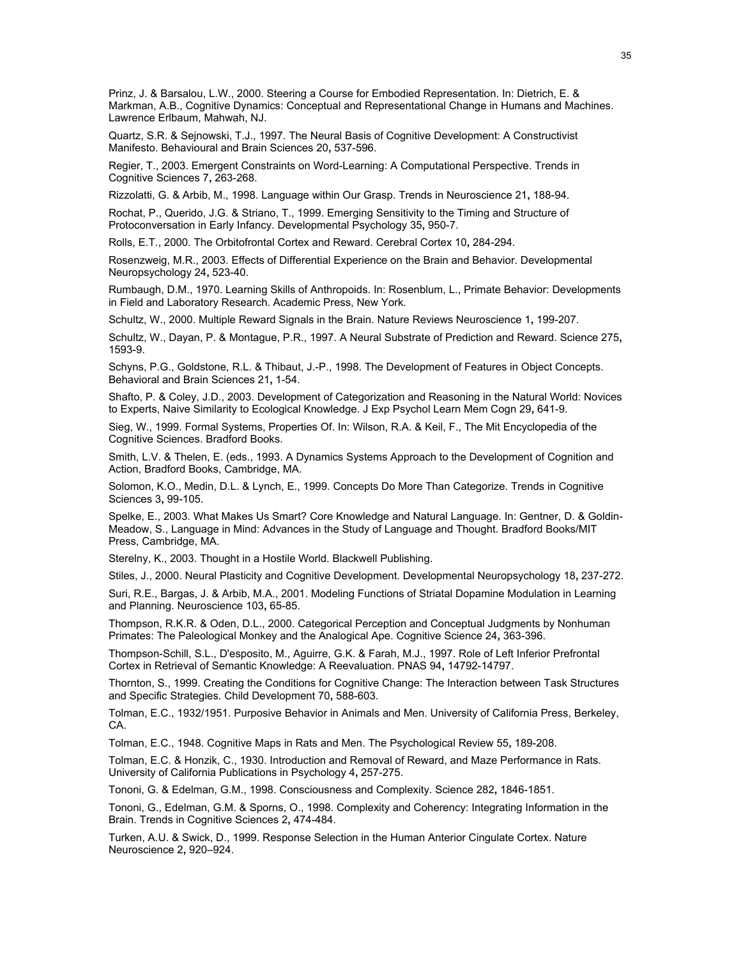Prinz, J. & Barsalou, L.W., 2000. Steering a Course for Embodied Representation. In: Dietrich, E. & Markman, A.B., Cognitive Dynamics: Conceptual and Representational Change in Humans and Machines. Lawrence Erlbaum, Mahwah, NJ.

Quartz, S.R. & Sejnowski, T.J., 1997. The Neural Basis of Cognitive Development: A Constructivist Manifesto. Behavioural and Brain Sciences 20**,** 537-596.

Regier, T., 2003. Emergent Constraints on Word-Learning: A Computational Perspective. Trends in Cognitive Sciences 7**,** 263-268.

Rizzolatti, G. & Arbib, M., 1998. Language within Our Grasp. Trends in Neuroscience 21**,** 188-94.

Rochat, P., Querido, J.G. & Striano, T., 1999. Emerging Sensitivity to the Timing and Structure of Protoconversation in Early Infancy. Developmental Psychology 35**,** 950-7.

Rolls, E.T., 2000. The Orbitofrontal Cortex and Reward. Cerebral Cortex 10**,** 284-294.

Rosenzweig, M.R., 2003. Effects of Differential Experience on the Brain and Behavior. Developmental Neuropsychology 24**,** 523-40.

Rumbaugh, D.M., 1970. Learning Skills of Anthropoids. In: Rosenblum, L., Primate Behavior: Developments in Field and Laboratory Research. Academic Press, New York.

Schultz, W., 2000. Multiple Reward Signals in the Brain. Nature Reviews Neuroscience 1**,** 199-207.

Schultz, W., Dayan, P. & Montague, P.R., 1997. A Neural Substrate of Prediction and Reward. Science 275**,** 1593-9.

Schyns, P.G., Goldstone, R.L. & Thibaut, J.-P., 1998. The Development of Features in Object Concepts. Behavioral and Brain Sciences 21**,** 1-54.

Shafto, P. & Coley, J.D., 2003. Development of Categorization and Reasoning in the Natural World: Novices to Experts, Naive Similarity to Ecological Knowledge. J Exp Psychol Learn Mem Cogn 29**,** 641-9.

Sieg, W., 1999. Formal Systems, Properties Of. In: Wilson, R.A. & Keil, F., The Mit Encyclopedia of the Cognitive Sciences. Bradford Books.

Smith, L.V. & Thelen, E. (eds., 1993. A Dynamics Systems Approach to the Development of Cognition and Action, Bradford Books, Cambridge, MA.

Solomon, K.O., Medin, D.L. & Lynch, E., 1999. Concepts Do More Than Categorize. Trends in Cognitive Sciences 3**,** 99-105.

Spelke, E., 2003. What Makes Us Smart? Core Knowledge and Natural Language. In: Gentner, D. & Goldin-Meadow, S., Language in Mind: Advances in the Study of Language and Thought. Bradford Books/MIT Press, Cambridge, MA.

Sterelny, K., 2003. Thought in a Hostile World. Blackwell Publishing.

Stiles, J., 2000. Neural Plasticity and Cognitive Development. Developmental Neuropsychology 18**,** 237-272.

Suri, R.E., Bargas, J. & Arbib, M.A., 2001. Modeling Functions of Striatal Dopamine Modulation in Learning and Planning. Neuroscience 103**,** 65-85.

Thompson, R.K.R. & Oden, D.L., 2000. Categorical Perception and Conceptual Judgments by Nonhuman Primates: The Paleological Monkey and the Analogical Ape. Cognitive Science 24**,** 363-396.

Thompson-Schill, S.L., D'esposito, M., Aguirre, G.K. & Farah, M.J., 1997. Role of Left Inferior Prefrontal Cortex in Retrieval of Semantic Knowledge: A Reevaluation. PNAS 94**,** 14792-14797.

Thornton, S., 1999. Creating the Conditions for Cognitive Change: The Interaction between Task Structures and Specific Strategies. Child Development 70**,** 588-603.

Tolman, E.C., 1932/1951. Purposive Behavior in Animals and Men. University of California Press, Berkeley, CA.

Tolman, E.C., 1948. Cognitive Maps in Rats and Men. The Psychological Review 55**,** 189-208.

Tolman, E.C. & Honzik, C., 1930. Introduction and Removal of Reward, and Maze Performance in Rats. University of California Publications in Psychology 4**,** 257-275.

Tononi, G. & Edelman, G.M., 1998. Consciousness and Complexity. Science 282**,** 1846-1851.

Tononi, G., Edelman, G.M. & Sporns, O., 1998. Complexity and Coherency: Integrating Information in the Brain. Trends in Cognitive Sciences 2**,** 474-484.

Turken, A.U. & Swick, D., 1999. Response Selection in the Human Anterior Cingulate Cortex. Nature Neuroscience 2**,** 920–924.